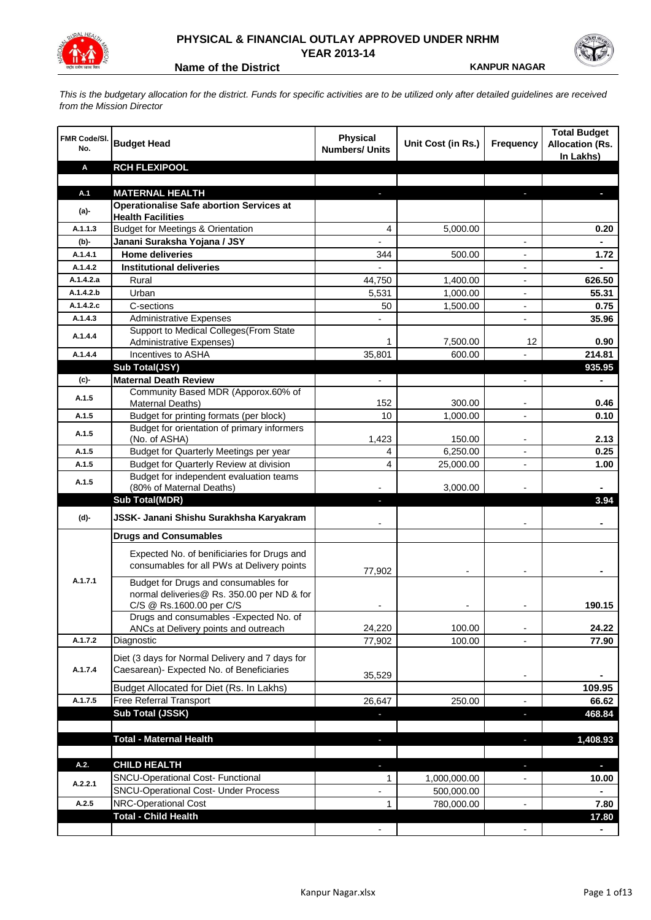

## **PHYSICAL & FINANCIAL OUTLAY APPROVED UNDER NRHM YEAR 2013-14**

**Name of the District <b>KANPUR NAGAR** 

*This is the budgetary allocation for the district. Funds for specific activities are to be utilized only after detailed guidelines are received from the Mission Director*

| <b>FMR Code/SI.</b><br>No. | <b>Budget Head</b>                                                                        | <b>Physical</b><br><b>Numbers/ Units</b> | Unit Cost (in Rs.) | <b>Frequency</b>         | <b>Total Budget</b><br><b>Allocation (Rs.</b><br>In Lakhs) |
|----------------------------|-------------------------------------------------------------------------------------------|------------------------------------------|--------------------|--------------------------|------------------------------------------------------------|
| Α                          | <b>RCH FLEXIPOOL</b>                                                                      |                                          |                    |                          |                                                            |
|                            |                                                                                           |                                          |                    |                          |                                                            |
| A.1                        | <b>MATERNAL HEALTH</b>                                                                    |                                          |                    |                          |                                                            |
| $(a)$ -                    | <b>Operationalise Safe abortion Services at</b>                                           |                                          |                    |                          |                                                            |
| A.1.1.3                    | <b>Health Facilities</b><br><b>Budget for Meetings &amp; Orientation</b>                  |                                          |                    |                          |                                                            |
|                            |                                                                                           | 4                                        | 5,000.00           |                          | 0.20                                                       |
| (b)-<br>A.1.4.1            | Janani Suraksha Yojana / JSY<br><b>Home deliveries</b>                                    |                                          |                    |                          |                                                            |
| A.1.4.2                    | <b>Institutional deliveries</b>                                                           | 344                                      | 500.00             |                          | 1.72                                                       |
| A.1.4.2.a                  | Rural                                                                                     | 44,750                                   | 1,400.00           |                          | 626.50                                                     |
| A.1.4.2.b                  | Urban                                                                                     | 5,531                                    | 1,000.00           |                          | 55.31                                                      |
| A.1.4.2.c                  | C-sections                                                                                | 50                                       | 1,500.00           |                          | 0.75                                                       |
| A.1.4.3                    | <b>Administrative Expenses</b>                                                            |                                          |                    | $\overline{a}$           | 35.96                                                      |
|                            | Support to Medical Colleges (From State                                                   |                                          |                    |                          |                                                            |
| A.1.4.4                    | Administrative Expenses)                                                                  | 1                                        | 7,500.00           | 12                       | 0.90                                                       |
| A.1.4.4                    | Incentives to ASHA                                                                        | 35,801                                   | 600.00             |                          | 214.81                                                     |
|                            | Sub Total(JSY)                                                                            |                                          |                    |                          | 935.95                                                     |
| $(c)$ -                    | <b>Maternal Death Review</b>                                                              | $\overline{\phantom{a}}$                 |                    | $\overline{\phantom{a}}$ | $\blacksquare$                                             |
|                            | Community Based MDR (Apporox.60% of                                                       |                                          |                    |                          |                                                            |
| A.1.5                      | Maternal Deaths)                                                                          | 152                                      | 300.00             | $\overline{\phantom{a}}$ | 0.46                                                       |
| A.1.5                      | Budget for printing formats (per block)                                                   | 10                                       | 1,000.00           |                          | 0.10                                                       |
| A.1.5                      | Budget for orientation of primary informers                                               |                                          |                    |                          |                                                            |
|                            | (No. of ASHA)                                                                             | 1,423                                    | 150.00             | -                        | 2.13                                                       |
| A.1.5                      | Budget for Quarterly Meetings per year                                                    | 4                                        | 6,250.00           |                          | 0.25                                                       |
| A.1.5                      | Budget for Quarterly Review at division                                                   | $\overline{4}$                           | 25,000.00          |                          | 1.00                                                       |
| A.1.5                      | Budget for independent evaluation teams<br>(80% of Maternal Deaths)                       |                                          | 3,000.00           |                          |                                                            |
|                            | <b>Sub Total(MDR)</b>                                                                     | H,                                       |                    |                          | 3.94                                                       |
|                            |                                                                                           |                                          |                    |                          |                                                            |
| (d)-                       | JSSK- Janani Shishu Surakhsha Karyakram                                                   |                                          |                    |                          |                                                            |
|                            | <b>Drugs and Consumables</b>                                                              |                                          |                    |                          |                                                            |
|                            | Expected No. of benificiaries for Drugs and<br>consumables for all PWs at Delivery points |                                          |                    |                          |                                                            |
| A.1.7.1                    |                                                                                           | 77,902                                   |                    |                          |                                                            |
|                            | Budget for Drugs and consumables for<br>normal deliveries@ Rs. 350.00 per ND & for        |                                          |                    |                          |                                                            |
|                            | C/S @ Rs.1600.00 per C/S                                                                  |                                          |                    |                          | 190.15                                                     |
|                            | Drugs and consumables - Expected No. of                                                   |                                          |                    |                          |                                                            |
|                            | ANCs at Delivery points and outreach                                                      | 24,220                                   | 100.00             |                          | 24.22                                                      |
| A.1.7.2                    | Diagnostic                                                                                | 77,902                                   | 100.00             |                          | 77.90                                                      |
|                            | Diet (3 days for Normal Delivery and 7 days for                                           |                                          |                    |                          |                                                            |
| A.1.7.4                    | Caesarean)- Expected No. of Beneficiaries                                                 |                                          |                    |                          |                                                            |
|                            |                                                                                           | 35,529                                   |                    | $\blacksquare$           |                                                            |
|                            | Budget Allocated for Diet (Rs. In Lakhs)                                                  |                                          |                    |                          | 109.95                                                     |
| A.1.7.5                    | Free Referral Transport                                                                   | 26,647                                   | 250.00             | -                        | 66.62                                                      |
|                            | Sub Total (JSSK)                                                                          |                                          |                    | ×                        | 468.84                                                     |
|                            |                                                                                           |                                          |                    |                          |                                                            |
|                            | <b>Total - Maternal Health</b>                                                            | $\blacksquare$                           |                    | o,                       | 1,408.93                                                   |
| A.2.                       | <b>CHILD HEALTH</b>                                                                       |                                          |                    |                          | ÷.                                                         |
|                            | SNCU-Operational Cost- Functional                                                         | 1                                        | 1,000,000.00       |                          | 10.00                                                      |
| A.2.2.1                    | <b>SNCU-Operational Cost- Under Process</b>                                               |                                          | 500,000.00         |                          |                                                            |
| A.2.5                      | <b>NRC-Operational Cost</b>                                                               | 1                                        | 780,000.00         |                          | 7.80                                                       |
|                            | <b>Total - Child Health</b>                                                               |                                          |                    |                          | 17.80                                                      |
|                            |                                                                                           |                                          |                    |                          |                                                            |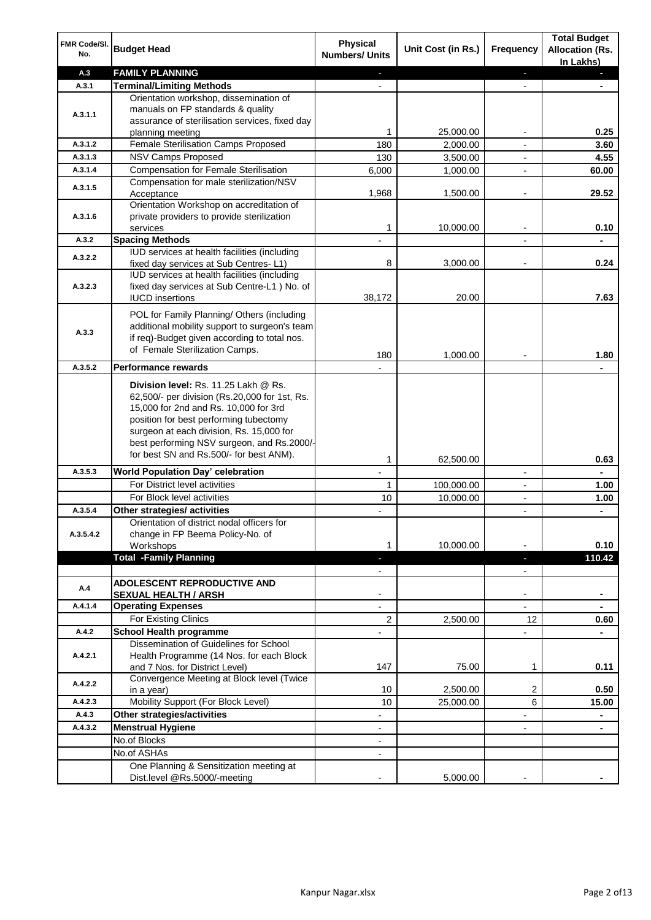| FMR Code/SI.<br>No.  | <b>Budget Head</b>                                                                                                                                                                                                                                                                                            | <b>Physical</b><br><b>Numbers/ Units</b>             | Unit Cost (in Rs.) | <b>Frequency</b>              | <b>Total Budget</b><br><b>Allocation (Rs.</b><br>In Lakhs) |
|----------------------|---------------------------------------------------------------------------------------------------------------------------------------------------------------------------------------------------------------------------------------------------------------------------------------------------------------|------------------------------------------------------|--------------------|-------------------------------|------------------------------------------------------------|
| A.3                  | <b>FAMILY PLANNING</b>                                                                                                                                                                                                                                                                                        | $\sim$                                               |                    | $\blacksquare$                | $\sim$                                                     |
| A.3.1                | <b>Terminal/Limiting Methods</b>                                                                                                                                                                                                                                                                              |                                                      |                    |                               |                                                            |
| A.3.1.1              | Orientation workshop, dissemination of<br>manuals on FP standards & quality<br>assurance of sterilisation services, fixed day<br>planning meeting                                                                                                                                                             | 1                                                    | 25,000.00          | $\overline{\phantom{a}}$      | 0.25                                                       |
| A.3.1.2              | Female Sterilisation Camps Proposed                                                                                                                                                                                                                                                                           | 180                                                  | 2,000.00           |                               | 3.60                                                       |
| A.3.1.3              | <b>NSV Camps Proposed</b>                                                                                                                                                                                                                                                                                     | 130                                                  | 3,500.00           |                               | 4.55                                                       |
| A.3.1.4              | <b>Compensation for Female Sterilisation</b>                                                                                                                                                                                                                                                                  | 6,000                                                | 1,000.00           | $\overline{\phantom{a}}$      | 60.00                                                      |
| A.3.1.5              | Compensation for male sterilization/NSV<br>Acceptance                                                                                                                                                                                                                                                         | 1,968                                                | 1,500.00           |                               | 29.52                                                      |
| A.3.1.6              | Orientation Workshop on accreditation of<br>private providers to provide sterilization<br>services                                                                                                                                                                                                            | 1                                                    | 10,000.00          | $\blacksquare$                | 0.10                                                       |
| A.3.2                | <b>Spacing Methods</b>                                                                                                                                                                                                                                                                                        |                                                      |                    |                               | ä,                                                         |
|                      | IUD services at health facilities (including                                                                                                                                                                                                                                                                  |                                                      |                    |                               |                                                            |
| A.3.2.2              | fixed day services at Sub Centres-L1)                                                                                                                                                                                                                                                                         | 8                                                    | 3,000.00           | $\overline{\phantom{a}}$      | 0.24                                                       |
| A.3.2.3              | IUD services at health facilities (including<br>fixed day services at Sub Centre-L1 ) No. of<br><b>IUCD</b> insertions                                                                                                                                                                                        | 38,172                                               | 20.00              |                               | 7.63                                                       |
| A.3.3                | POL for Family Planning/ Others (including<br>additional mobility support to surgeon's team<br>if req)-Budget given according to total nos.<br>of Female Sterilization Camps.                                                                                                                                 | 180                                                  | 1,000.00           |                               | 1.80                                                       |
| A.3.5.2              | <b>Performance rewards</b>                                                                                                                                                                                                                                                                                    |                                                      |                    |                               |                                                            |
|                      | Division level: Rs. 11.25 Lakh @ Rs.<br>62,500/- per division (Rs.20,000 for 1st, Rs.<br>15,000 for 2nd and Rs. 10,000 for 3rd<br>position for best performing tubectomy<br>surgeon at each division, Rs. 15,000 for<br>best performing NSV surgeon, and Rs.2000/-<br>for best SN and Rs.500/- for best ANM). |                                                      |                    |                               |                                                            |
|                      |                                                                                                                                                                                                                                                                                                               | 1                                                    | 62,500.00          |                               | 0.63                                                       |
| A.3.5.3              | World Population Day' celebration                                                                                                                                                                                                                                                                             |                                                      |                    |                               |                                                            |
|                      | For District level activities                                                                                                                                                                                                                                                                                 | 1                                                    | 100,000.00         |                               | 1.00                                                       |
|                      | For Block level activities                                                                                                                                                                                                                                                                                    | 10                                                   | 10,000.00          | $\blacksquare$                | 1.00                                                       |
| A.3.5.4<br>A.3.5.4.2 | Other strategies/ activities<br>Orientation of district nodal officers for<br>change in FP Beema Policy-No. of<br>Workshops                                                                                                                                                                                   | 1                                                    | 10,000.00          |                               | 0.10                                                       |
|                      | <b>Total -Family Planning</b>                                                                                                                                                                                                                                                                                 | $\overline{\phantom{a}}$<br>$\overline{\phantom{a}}$ |                    | ٠<br>$\overline{\phantom{a}}$ | 110.42                                                     |
| A.4                  | ADOLESCENT REPRODUCTIVE AND<br><b>SEXUAL HEALTH / ARSH</b>                                                                                                                                                                                                                                                    |                                                      |                    | $\blacksquare$                |                                                            |
| A.4.1.4              | <b>Operating Expenses</b>                                                                                                                                                                                                                                                                                     |                                                      |                    |                               |                                                            |
|                      | For Existing Clinics                                                                                                                                                                                                                                                                                          | 2                                                    | 2,500.00           | 12                            | 0.60                                                       |
| A.4.2                | <b>School Health programme</b>                                                                                                                                                                                                                                                                                |                                                      |                    | $\overline{a}$                |                                                            |
| A.4.2.1              | Dissemination of Guidelines for School<br>Health Programme (14 Nos. for each Block<br>and 7 Nos. for District Level)                                                                                                                                                                                          | 147                                                  | 75.00              | 1                             | 0.11                                                       |
| A.4.2.2              | Convergence Meeting at Block level (Twice<br>in a year)                                                                                                                                                                                                                                                       | 10                                                   | 2,500.00           | 2                             | 0.50                                                       |
| A.4.2.3              | Mobility Support (For Block Level)                                                                                                                                                                                                                                                                            | 10                                                   | 25,000.00          | 6                             | 15.00                                                      |
| A.4.3                | Other strategies/activities                                                                                                                                                                                                                                                                                   | $\overline{\phantom{0}}$                             |                    | -                             | ۰                                                          |
| A.4.3.2              | <b>Menstrual Hygiene</b>                                                                                                                                                                                                                                                                                      | $\overline{\phantom{a}}$                             |                    | ٠                             | ۰                                                          |
|                      | No.of Blocks                                                                                                                                                                                                                                                                                                  | $\overline{\phantom{a}}$                             |                    |                               |                                                            |
|                      | No.of ASHAs                                                                                                                                                                                                                                                                                                   | $\overline{\phantom{a}}$                             |                    |                               |                                                            |
|                      | One Planning & Sensitization meeting at<br>Dist.level @Rs.5000/-meeting                                                                                                                                                                                                                                       |                                                      | 5,000.00           |                               |                                                            |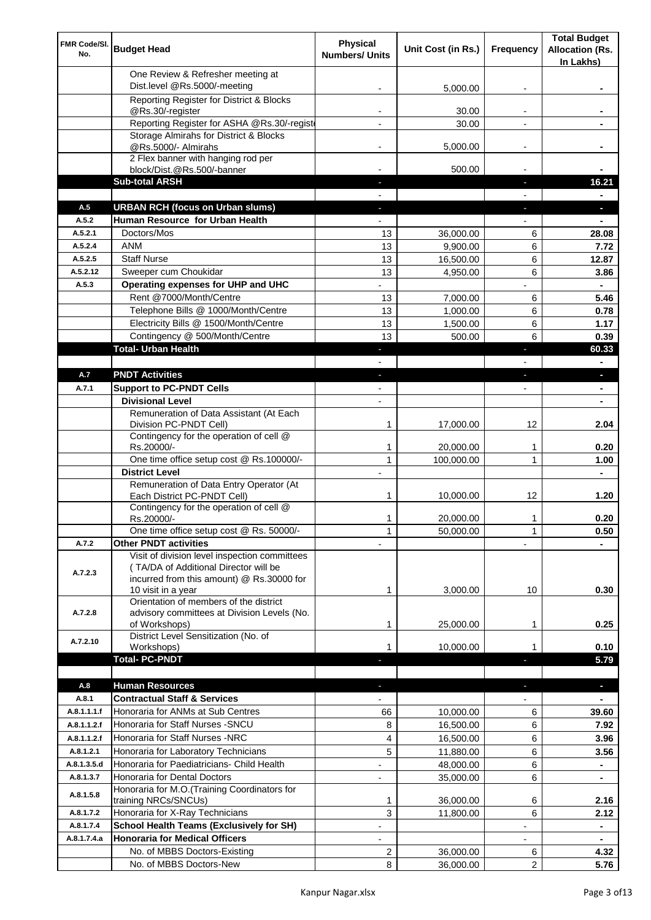| FMR Code/SI.<br>No. | <b>Budget Head</b>                                                                                                                                        | Physical<br><b>Numbers/ Units</b> | Unit Cost (in Rs.)     | Frequency                | <b>Total Budget</b><br><b>Allocation (Rs.</b><br>In Lakhs) |
|---------------------|-----------------------------------------------------------------------------------------------------------------------------------------------------------|-----------------------------------|------------------------|--------------------------|------------------------------------------------------------|
|                     | One Review & Refresher meeting at<br>Dist.level @Rs.5000/-meeting                                                                                         |                                   | 5,000.00               |                          |                                                            |
|                     | Reporting Register for District & Blocks                                                                                                                  |                                   |                        |                          |                                                            |
|                     | @Rs.30/-register                                                                                                                                          |                                   | 30.00                  |                          |                                                            |
|                     | Reporting Register for ASHA @Rs.30/-regist                                                                                                                |                                   | 30.00                  |                          |                                                            |
|                     | Storage Almirahs for District & Blocks<br>@Rs.5000/- Almirahs                                                                                             | $\blacksquare$                    | 5,000.00               | $\overline{\phantom{a}}$ |                                                            |
|                     | 2 Flex banner with hanging rod per                                                                                                                        |                                   |                        |                          |                                                            |
|                     | block/Dist.@Rs.500/-banner                                                                                                                                |                                   | 500.00                 |                          |                                                            |
|                     | <b>Sub-total ARSH</b>                                                                                                                                     |                                   |                        | a,                       | 16.21                                                      |
| A.5                 | <b>URBAN RCH (focus on Urban slums)</b>                                                                                                                   |                                   |                        |                          | н.                                                         |
| A.5.2               | Human Resource for Urban Health                                                                                                                           |                                   |                        |                          |                                                            |
| A.5.2.1             | Doctors/Mos                                                                                                                                               | 13                                | 36,000.00              | 6                        | 28.08                                                      |
| A.5.2.4             | <b>ANM</b>                                                                                                                                                | 13                                | 9,900.00               | 6                        | 7.72                                                       |
| A.5.2.5<br>A.5.2.12 | <b>Staff Nurse</b><br>Sweeper cum Choukidar                                                                                                               | 13                                | 16,500.00<br>4,950.00  | 6<br>6                   | 12.87                                                      |
| A.5.3               | Operating expenses for UHP and UHC                                                                                                                        | 13                                |                        |                          | 3.86<br>$\blacksquare$                                     |
|                     | Rent @7000/Month/Centre                                                                                                                                   | 13                                | 7,000.00               | 6                        | 5.46                                                       |
|                     | Telephone Bills @ 1000/Month/Centre                                                                                                                       | 13                                | 1,000.00               | 6                        | 0.78                                                       |
|                     | Electricity Bills @ 1500/Month/Centre                                                                                                                     | 13                                | 1,500.00               | 6                        | 1.17                                                       |
|                     | Contingency @ 500/Month/Centre                                                                                                                            | 13                                | 500.00                 | 6                        | 0.39                                                       |
|                     | <b>Total- Urban Health</b>                                                                                                                                | ٠                                 |                        | ×                        | 60.33                                                      |
|                     |                                                                                                                                                           |                                   |                        |                          | $\blacksquare$                                             |
| A.7                 | <b>PNDT Activities</b>                                                                                                                                    | ٠                                 |                        | ×                        | ٠                                                          |
| A.7.1               | <b>Support to PC-PNDT Cells</b>                                                                                                                           | $\blacksquare$                    |                        | $\blacksquare$           | $\blacksquare$                                             |
|                     | <b>Divisional Level</b>                                                                                                                                   | $\blacksquare$                    |                        |                          |                                                            |
|                     | Remuneration of Data Assistant (At Each<br>Division PC-PNDT Cell)                                                                                         | 1                                 | 17,000.00              | 12                       | 2.04                                                       |
|                     | Contingency for the operation of cell @<br>Rs.20000/-                                                                                                     | 1                                 | 20,000.00              | 1                        | 0.20                                                       |
|                     | One time office setup cost @ Rs.100000/-                                                                                                                  | $\mathbf{1}$                      | 100,000.00             | 1                        | 1.00                                                       |
|                     | <b>District Level</b>                                                                                                                                     |                                   |                        |                          |                                                            |
|                     | Remuneration of Data Entry Operator (At<br>Each District PC-PNDT Cell)                                                                                    | 1                                 | 10,000.00              | 12                       | 1.20                                                       |
|                     | Contingency for the operation of cell @<br>Rs.20000/-                                                                                                     | 1                                 | 20,000.00              | 1                        | 0.20                                                       |
|                     | One time office setup cost @ Rs. 50000/-                                                                                                                  | $\mathbf{1}$                      | 50,000.00              | $\mathbf{1}$             | 0.50                                                       |
| A.7.2               | <b>Other PNDT activities</b>                                                                                                                              |                                   |                        |                          |                                                            |
| A.7.2.3             | Visit of division level inspection committees<br>(TA/DA of Additional Director will be<br>incurred from this amount) @ Rs.30000 for<br>10 visit in a year | 1                                 | 3,000.00               | 10                       | 0.30                                                       |
| A.7.2.8             | Orientation of members of the district<br>advisory committees at Division Levels (No.<br>of Workshops)                                                    | 1                                 | 25,000.00              | 1                        | 0.25                                                       |
|                     | District Level Sensitization (No. of                                                                                                                      |                                   |                        |                          |                                                            |
| A.7.2.10            | Workshops)                                                                                                                                                | 1                                 | 10,000.00              |                          | 0.10                                                       |
|                     | <b>Total- PC-PNDT</b>                                                                                                                                     |                                   |                        |                          | 5.79                                                       |
|                     |                                                                                                                                                           |                                   |                        |                          |                                                            |
| A.8<br>A.8.1        | <b>Human Resources</b><br><b>Contractual Staff &amp; Services</b>                                                                                         |                                   |                        |                          | ÷.                                                         |
| A.8.1.1.1.f         | Honoraria for ANMs at Sub Centres                                                                                                                         |                                   |                        | 6                        |                                                            |
| A.8.1.1.2.f         | Honoraria for Staff Nurses - SNCU                                                                                                                         | 66<br>8                           | 10,000.00<br>16,500.00 | 6                        | 39.60<br>7.92                                              |
| A.8.1.1.2.f         | Honoraria for Staff Nurses -NRC                                                                                                                           | 4                                 | 16,500.00              | 6                        | 3.96                                                       |
| A.8.1.2.1           | Honoraria for Laboratory Technicians                                                                                                                      | 5                                 | 11,880.00              | 6                        | 3.56                                                       |
| A.8.1.3.5.d         | Honoraria for Paediatricians- Child Health                                                                                                                |                                   | 48,000.00              | 6                        |                                                            |
| A.8.1.3.7           | Honoraria for Dental Doctors                                                                                                                              | $\overline{\phantom{a}}$          | 35,000.00              | 6                        |                                                            |
| A.8.1.5.8           | Honoraria for M.O. (Training Coordinators for<br>training NRCs/SNCUs)                                                                                     | 1                                 | 36,000.00              | 6                        | 2.16                                                       |
| A.8.1.7.2           | Honoraria for X-Ray Technicians                                                                                                                           | 3                                 | 11,800.00              | 6                        | 2.12                                                       |
| A.8.1.7.4           | <b>School Health Teams (Exclusively for SH)</b>                                                                                                           |                                   |                        |                          | ٠                                                          |
| A.8.1.7.4.a         | <b>Honoraria for Medical Officers</b>                                                                                                                     |                                   |                        |                          | ۰                                                          |
|                     | No. of MBBS Doctors-Existing                                                                                                                              | 2                                 | 36,000.00              | 6                        | 4.32                                                       |
|                     | No. of MBBS Doctors-New                                                                                                                                   | 8                                 | 36,000.00              | 2                        | 5.76                                                       |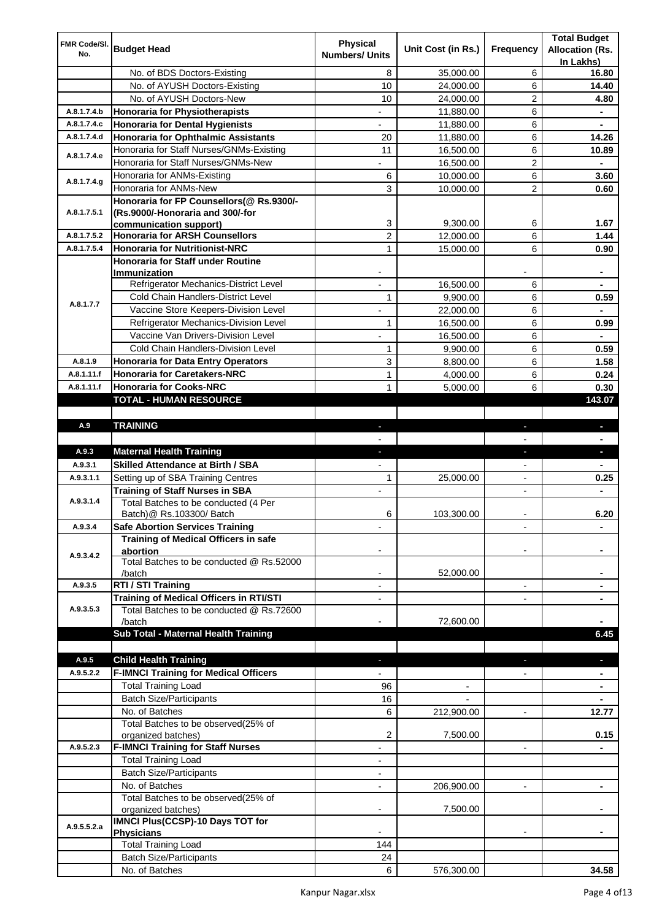|                     |                                                  | <b>Physical</b>          |                    |                          | <b>Total Budget</b>    |
|---------------------|--------------------------------------------------|--------------------------|--------------------|--------------------------|------------------------|
| FMR Code/SI.<br>No. | <b>Budget Head</b>                               | <b>Numbers/ Units</b>    | Unit Cost (in Rs.) | Frequency                | <b>Allocation (Rs.</b> |
|                     |                                                  |                          |                    |                          | In Lakhs)              |
|                     | No. of BDS Doctors-Existing                      | 8                        | 35,000.00          | 6                        | 16.80                  |
|                     | No. of AYUSH Doctors-Existing                    | 10                       | 24,000.00          | 6                        | 14.40                  |
|                     | No. of AYUSH Doctors-New                         | 10                       | 24,000.00          | 2                        | 4.80                   |
| A.8.1.7.4.b         | <b>Honoraria for Physiotherapists</b>            | $\overline{\phantom{a}}$ | 11,880.00          | 6                        | $\blacksquare$         |
| A.8.1.7.4.c         | <b>Honoraria for Dental Hygienists</b>           | $\overline{\phantom{a}}$ | 11,880.00          | 6                        | ۰                      |
| A.8.1.7.4.d         | <b>Honoraria for Ophthalmic Assistants</b>       | 20                       | 11,880.00          | 6                        | 14.26                  |
| A.8.1.7.4.e         | Honoraria for Staff Nurses/GNMs-Existing         | 11                       | 16,500.00          | 6                        | 10.89                  |
|                     | Honoraria for Staff Nurses/GNMs-New              |                          | 16,500.00          | $\overline{c}$           |                        |
| A.8.1.7.4.g         | Honoraria for ANMs-Existing                      | 6                        | 10,000.00          | 6                        | 3.60                   |
|                     | Honoraria for ANMs-New                           | 3                        | 10,000.00          | 2                        | 0.60                   |
|                     | Honoraria for FP Counsellors(@ Rs.9300/-         |                          |                    |                          |                        |
| A.8.1.7.5.1         | (Rs.9000/-Honoraria and 300/-for                 |                          |                    |                          |                        |
|                     | communication support)                           | 3                        | 9,300.00           | 6                        | 1.67                   |
| A.8.1.7.5.2         | <b>Honoraria for ARSH Counsellors</b>            | 2                        | 12,000.00          | 6                        | 1.44                   |
| A.8.1.7.5.4         | <b>Honoraria for Nutritionist-NRC</b>            | 1                        | 15,000.00          | 6                        | 0.90                   |
|                     | Honoraria for Staff under Routine                |                          |                    |                          |                        |
|                     | Immunization                                     |                          |                    |                          |                        |
|                     | Refrigerator Mechanics-District Level            |                          | 16,500.00          | 6                        |                        |
| A.8.1.7.7           | Cold Chain Handlers-District Level               | 1                        | 9,900.00           | 6                        | 0.59                   |
|                     | Vaccine Store Keepers-Division Level             |                          | 22,000.00          | 6                        |                        |
|                     | Refrigerator Mechanics-Division Level            | 1                        | 16,500.00          | 6                        | 0.99                   |
|                     | Vaccine Van Drivers-Division Level               |                          | 16,500.00          | 6                        |                        |
|                     | Cold Chain Handlers-Division Level               | 1                        | 9,900.00           | 6                        | 0.59                   |
| A.8.1.9             | <b>Honoraria for Data Entry Operators</b>        | 3                        | 8,800.00           | 6                        | 1.58                   |
| A.8.1.11.f          | <b>Honoraria for Caretakers-NRC</b>              | 1                        | 4,000.00           | 6                        | 0.24                   |
| A.8.1.11.f          | <b>Honoraria for Cooks-NRC</b>                   | 1                        | 5,000.00           | 6                        | 0.30                   |
|                     | TOTAL - HUMAN RESOURCE                           |                          |                    |                          | 143.07                 |
|                     |                                                  |                          |                    |                          |                        |
| A.9                 | <b>TRAINING</b>                                  | ٠                        |                    | ٠                        | ٠                      |
|                     |                                                  |                          |                    |                          |                        |
| A.9.3               | <b>Maternal Health Training</b>                  | ٠                        |                    | ×,                       | ٠                      |
| A.9.3.1             | <b>Skilled Attendance at Birth / SBA</b>         |                          |                    |                          | $\blacksquare$         |
|                     |                                                  |                          |                    |                          |                        |
| A.9.3.1.1           | Setting up of SBA Training Centres               | 1                        | 25,000.00          | $\blacksquare$           | 0.25                   |
|                     | <b>Training of Staff Nurses in SBA</b>           | $\blacksquare$           |                    | $\blacksquare$           |                        |
| A.9.3.1.4           | Total Batches to be conducted (4 Per             |                          |                    |                          |                        |
|                     | Batch) @ Rs.103300/ Batch                        | 6                        | 103,300.00         |                          | 6.20                   |
| A.9.3.4             | <b>Safe Abortion Services Training</b>           |                          |                    |                          | ۰                      |
|                     | Training of Medical Officers in safe             |                          |                    |                          |                        |
| A.9.3.4.2           | abortion                                         |                          |                    |                          |                        |
|                     | Total Batches to be conducted @ Rs.52000         |                          |                    |                          |                        |
|                     | /batch                                           |                          | 52,000.00          |                          |                        |
| A.9.3.5             | RTI / STI Training                               |                          |                    | $\blacksquare$           |                        |
|                     | Training of Medical Officers in RTI/STI          |                          |                    |                          |                        |
| A.9.3.5.3           | Total Batches to be conducted @ Rs.72600         |                          |                    |                          |                        |
|                     | /batch                                           |                          | 72,600.00          |                          |                        |
|                     | Sub Total - Maternal Health Training             |                          |                    |                          | 6.45                   |
|                     |                                                  |                          |                    |                          |                        |
| A.9.5               | <b>Child Health Training</b>                     |                          |                    |                          |                        |
| A.9.5.2.2           | <b>F-IMNCI Training for Medical Officers</b>     |                          |                    |                          |                        |
|                     | <b>Total Training Load</b>                       | 96                       |                    |                          |                        |
|                     | <b>Batch Size/Participants</b>                   | 16                       |                    |                          |                        |
|                     | No. of Batches                                   | 6                        | 212,900.00         | $\blacksquare$           | 12.77                  |
|                     | Total Batches to be observed(25% of              |                          |                    |                          |                        |
|                     | organized batches)                               | 2                        | 7,500.00           |                          | 0.15                   |
| A.9.5.2.3           | <b>F-IMNCI Training for Staff Nurses</b>         | $\overline{\phantom{a}}$ |                    | $\overline{\phantom{a}}$ | ۰                      |
|                     | <b>Total Training Load</b>                       | $\overline{\phantom{a}}$ |                    |                          |                        |
|                     | <b>Batch Size/Participants</b>                   | -                        |                    |                          |                        |
|                     | No. of Batches                                   | $\overline{\phantom{a}}$ | 206,900.00         |                          |                        |
|                     | Total Batches to be observed(25% of              |                          |                    |                          |                        |
|                     | organized batches)                               |                          | 7,500.00           |                          |                        |
| A.9.5.5.2.a         | <b>IMNCI Plus(CCSP)-10 Days TOT for</b>          |                          |                    |                          |                        |
|                     | <b>Physicians</b>                                |                          |                    |                          |                        |
|                     | <b>Total Training Load</b>                       | 144                      |                    |                          |                        |
|                     | <b>Batch Size/Participants</b><br>No. of Batches | 24<br>6                  | 576,300.00         |                          | 34.58                  |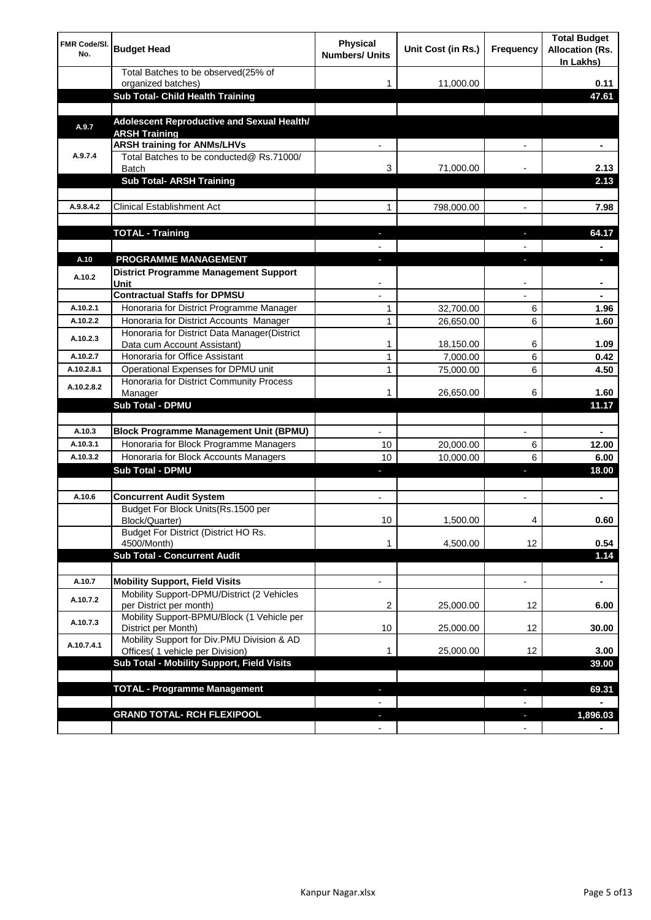| <b>FMR Code/SI.</b><br>No. | <b>Budget Head</b>                                                             | Physical<br><b>Numbers/ Units</b> | Unit Cost (in Rs.) | Frequency                | <b>Total Budget</b><br><b>Allocation (Rs.</b><br>In Lakhs) |
|----------------------------|--------------------------------------------------------------------------------|-----------------------------------|--------------------|--------------------------|------------------------------------------------------------|
|                            | Total Batches to be observed(25% of<br>organized batches)                      | 1                                 | 11,000.00          |                          | 0.11                                                       |
|                            | Sub Total- Child Health Training                                               |                                   |                    |                          | 47.61                                                      |
|                            |                                                                                |                                   |                    |                          |                                                            |
| A.9.7                      | Adolescent Reproductive and Sexual Health/<br><b>ARSH Training</b>             |                                   |                    |                          |                                                            |
|                            | <b>ARSH training for ANMs/LHVs</b>                                             |                                   |                    |                          |                                                            |
| A.9.7.4                    | Total Batches to be conducted@ Rs.71000/<br><b>Batch</b>                       | 3                                 | 71,000.00          |                          | 2.13                                                       |
|                            | <b>Sub Total- ARSH Training</b>                                                |                                   |                    |                          | 2.13                                                       |
|                            |                                                                                |                                   |                    |                          |                                                            |
| A.9.8.4.2                  | <b>Clinical Establishment Act</b>                                              | 1                                 | 798,000.00         |                          | 7.98                                                       |
|                            |                                                                                |                                   |                    |                          | 64.17                                                      |
|                            | <b>TOTAL - Training</b>                                                        |                                   |                    |                          |                                                            |
| A.10                       | <b>PROGRAMME MANAGEMENT</b>                                                    |                                   |                    |                          |                                                            |
| A.10.2                     | District Programme Management Support<br>Unit                                  |                                   |                    |                          |                                                            |
|                            | <b>Contractual Staffs for DPMSU</b>                                            |                                   |                    |                          |                                                            |
| A.10.2.1                   | Honoraria for District Programme Manager                                       | 1                                 | 32,700.00          | 6                        | 1.96                                                       |
| A.10.2.2                   | Honoraria for District Accounts Manager                                        | 1                                 | 26,650.00          | 6                        | 1.60                                                       |
| A.10.2.3                   | Honoraria for District Data Manager(District<br>Data cum Account Assistant)    | 1                                 | 18,150.00          | 6                        | 1.09                                                       |
| A.10.2.7                   | Honoraria for Office Assistant                                                 | 1                                 | 7,000.00           | 6                        | 0.42                                                       |
| A.10.2.8.1                 | Operational Expenses for DPMU unit                                             | 1                                 | 75,000.00          | 6                        | 4.50                                                       |
| A.10.2.8.2                 | Honoraria for District Community Process<br>Manager                            | 1                                 | 26,650.00          | 6                        | 1.60                                                       |
|                            | Sub Total - DPMU                                                               |                                   |                    |                          | 11.17                                                      |
|                            |                                                                                |                                   |                    |                          |                                                            |
| A.10.3                     | <b>Block Programme Management Unit (BPMU)</b>                                  | $\blacksquare$                    |                    | $\overline{\phantom{a}}$ | $\blacksquare$                                             |
| A.10.3.1                   | Honoraria for Block Programme Managers                                         | 10                                | 20,000.00          | 6                        | 12.00                                                      |
| A.10.3.2                   | Honoraria for Block Accounts Managers                                          | 10                                | 10,000.00          | 6                        | 6.00                                                       |
|                            | <b>Sub Total - DPMU</b>                                                        | ٠                                 |                    | J,                       | 18.00                                                      |
|                            |                                                                                |                                   |                    |                          |                                                            |
| A.10.6                     | <b>Concurrent Audit System</b><br>Budget For Block Units(Rs. 1500 per          | $\blacksquare$                    |                    | $\blacksquare$           | ۰                                                          |
|                            | Block/Quarter)<br>Budget For District (District HO Rs.                         | 10                                | 1,500.00           | 4                        | 0.60                                                       |
|                            | 4500/Month)                                                                    | 1                                 | 4,500.00           | 12                       | 0.54                                                       |
|                            | <b>Sub Total - Concurrent Audit</b>                                            |                                   |                    |                          | 1.14                                                       |
|                            | <b>Mobility Support, Field Visits</b>                                          | $\overline{\phantom{a}}$          |                    | $\overline{\phantom{a}}$ |                                                            |
| A.10.7<br>A.10.7.2         | Mobility Support-DPMU/District (2 Vehicles                                     |                                   |                    |                          | ۰                                                          |
|                            | per District per month)<br>Mobility Support-BPMU/Block (1 Vehicle per          | 2                                 | 25,000.00          | 12                       | 6.00                                                       |
| A.10.7.3                   | District per Month)                                                            | 10                                | 25,000.00          | 12                       | 30.00                                                      |
| A.10.7.4.1                 | Mobility Support for Div.PMU Division & AD<br>Offices( 1 vehicle per Division) | 1                                 | 25,000.00          | 12                       | 3.00                                                       |
|                            | Sub Total - Mobility Support, Field Visits                                     |                                   |                    |                          | 39.00                                                      |
|                            |                                                                                |                                   |                    |                          |                                                            |
|                            | <b>TOTAL - Programme Management</b>                                            |                                   |                    | ı                        | 69.31                                                      |
|                            | <b>GRAND TOTAL- RCH FLEXIPOOL</b>                                              | ٠                                 |                    | H,                       | 1,896.03                                                   |
|                            |                                                                                | $\blacksquare$                    |                    | $\overline{\phantom{a}}$ |                                                            |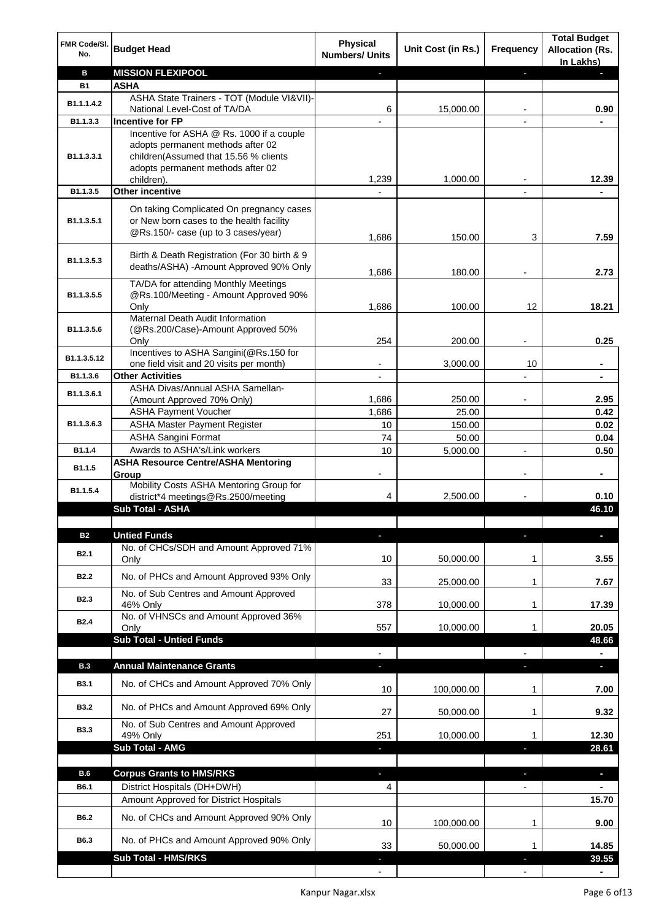| FMR Code/SI.<br>No. | <b>Budget Head</b>                                                                                                          | <b>Physical</b><br><b>Numbers/ Units</b> | Unit Cost (in Rs.) | Frequency                | <b>Total Budget</b><br><b>Allocation (Rs.</b><br>In Lakhs) |
|---------------------|-----------------------------------------------------------------------------------------------------------------------------|------------------------------------------|--------------------|--------------------------|------------------------------------------------------------|
| в                   | <b>MISSION FLEXIPOOL</b>                                                                                                    |                                          |                    | J,                       |                                                            |
| <b>B1</b>           | <b>ASHA</b>                                                                                                                 |                                          |                    |                          |                                                            |
| B1.1.1.4.2          | ASHA State Trainers - TOT (Module VI&VII)-                                                                                  |                                          |                    |                          |                                                            |
| B1.1.3.3            | National Level-Cost of TA/DA<br><b>Incentive for FP</b>                                                                     | 6                                        | 15,000.00          |                          | 0.90                                                       |
|                     | Incentive for ASHA @ Rs. 1000 if a couple                                                                                   |                                          |                    |                          |                                                            |
| B1.1.3.3.1          | adopts permanent methods after 02<br>children(Assumed that 15.56 % clients<br>adopts permanent methods after 02             |                                          |                    |                          |                                                            |
|                     | children).                                                                                                                  | 1,239                                    | 1,000.00           |                          | 12.39                                                      |
| B1.1.3.5            | <b>Other incentive</b>                                                                                                      |                                          |                    | $\blacksquare$           |                                                            |
| B1.1.3.5.1          | On taking Complicated On pregnancy cases<br>or New born cases to the health facility<br>@Rs.150/- case (up to 3 cases/year) | 1,686                                    | 150.00             | 3                        | 7.59                                                       |
| B1.1.3.5.3          | Birth & Death Registration (For 30 birth & 9<br>deaths/ASHA) - Amount Approved 90% Only                                     | 1,686                                    | 180.00             |                          | 2.73                                                       |
|                     | TA/DA for attending Monthly Meetings                                                                                        |                                          |                    |                          |                                                            |
| B1.1.3.5.5          | @Rs.100/Meeting - Amount Approved 90%                                                                                       |                                          |                    |                          |                                                            |
|                     | Only                                                                                                                        | 1,686                                    | 100.00             | 12                       | 18.21                                                      |
|                     | Maternal Death Audit Information                                                                                            |                                          |                    |                          |                                                            |
| B1.1.3.5.6          | (@Rs.200/Case)-Amount Approved 50%                                                                                          | 254                                      | 200.00             |                          | 0.25                                                       |
|                     | Only<br>Incentives to ASHA Sangini(@Rs.150 for                                                                              |                                          |                    |                          |                                                            |
| B1.1.3.5.12         | one field visit and 20 visits per month)                                                                                    |                                          | 3,000.00           | 10                       | ä,                                                         |
| B1.1.3.6            | <b>Other Activities</b>                                                                                                     | $\overline{\phantom{a}}$                 |                    | $\overline{a}$           | $\blacksquare$                                             |
| B1.1.3.6.1          | ASHA Divas/Annual ASHA Samellan-                                                                                            |                                          |                    |                          |                                                            |
|                     | (Amount Approved 70% Only)                                                                                                  | 1,686                                    | 250.00             |                          | 2.95                                                       |
|                     | <b>ASHA Payment Voucher</b>                                                                                                 | 1,686                                    | 25.00              |                          | 0.42                                                       |
| B1.1.3.6.3          | <b>ASHA Master Payment Register</b>                                                                                         | 10                                       | 150.00             |                          | 0.02                                                       |
|                     | <b>ASHA Sangini Format</b>                                                                                                  | 74                                       | 50.00              |                          | 0.04                                                       |
| B1.1.4              | Awards to ASHA's/Link workers                                                                                               | 10                                       | 5,000.00           | $\overline{a}$           | 0.50                                                       |
| B1.1.5              | <b>ASHA Resource Centre/ASHA Mentoring</b><br>Group<br>Mobility Costs ASHA Mentoring Group for                              | -                                        |                    | $\overline{\phantom{a}}$ | ٠                                                          |
| B1.1.5.4            | district*4 meetings@Rs.2500/meeting                                                                                         | 4                                        | 2,500.00           |                          | 0.10                                                       |
|                     | <b>Sub Total - ASHA</b>                                                                                                     |                                          |                    |                          | 46.10                                                      |
|                     |                                                                                                                             |                                          |                    |                          |                                                            |
| <b>B2</b>           | <b>Untied Funds</b>                                                                                                         |                                          |                    | п                        |                                                            |
| B <sub>2.1</sub>    | No. of CHCs/SDH and Amount Approved 71%<br>Only                                                                             | 10                                       | 50,000.00          | 1                        | 3.55                                                       |
| <b>B2.2</b>         | No. of PHCs and Amount Approved 93% Only                                                                                    | 33                                       | 25,000.00          | 1                        | 7.67                                                       |
|                     | No. of Sub Centres and Amount Approved                                                                                      |                                          |                    |                          |                                                            |
| <b>B2.3</b>         | 46% Only                                                                                                                    | 378                                      | 10,000.00          | 1                        | 17.39                                                      |
| <b>B2.4</b>         | No. of VHNSCs and Amount Approved 36%                                                                                       |                                          |                    |                          |                                                            |
|                     | Only<br><b>Sub Total - Untied Funds</b>                                                                                     | 557                                      | 10,000.00          | 1                        | 20.05<br>48.66                                             |
|                     |                                                                                                                             |                                          |                    |                          |                                                            |
| <b>B.3</b>          | <b>Annual Maintenance Grants</b>                                                                                            | J,                                       |                    | T                        | $\overline{\phantom{a}}$                                   |
| <b>B3.1</b>         | No. of CHCs and Amount Approved 70% Only                                                                                    | 10                                       | 100,000.00         | 1                        | 7.00                                                       |
| <b>B3.2</b>         | No. of PHCs and Amount Approved 69% Only                                                                                    | 27                                       | 50,000.00          | 1                        | 9.32                                                       |
| <b>B3.3</b>         | No. of Sub Centres and Amount Approved                                                                                      |                                          |                    |                          |                                                            |
|                     | 49% Only<br><b>Sub Total - AMG</b>                                                                                          | 251                                      | 10,000.00          | 1                        | 12.30                                                      |
|                     |                                                                                                                             |                                          |                    | п                        | 28.61                                                      |
| <b>B.6</b>          | <b>Corpus Grants to HMS/RKS</b>                                                                                             | J,                                       |                    | Е                        | $\overline{\phantom{a}}$                                   |
| B6.1                | District Hospitals (DH+DWH)                                                                                                 | 4                                        |                    | $\overline{\phantom{0}}$ |                                                            |
|                     | Amount Approved for District Hospitals                                                                                      |                                          |                    |                          | 15.70                                                      |
| B6.2                | No. of CHCs and Amount Approved 90% Only                                                                                    | 10                                       | 100,000.00         | 1                        | 9.00                                                       |
| B6.3                | No. of PHCs and Amount Approved 90% Only                                                                                    | 33                                       | 50,000.00          | 1                        | 14.85                                                      |
|                     | <b>Sub Total - HMS/RKS</b>                                                                                                  |                                          |                    |                          | 39.55                                                      |
|                     |                                                                                                                             |                                          |                    |                          |                                                            |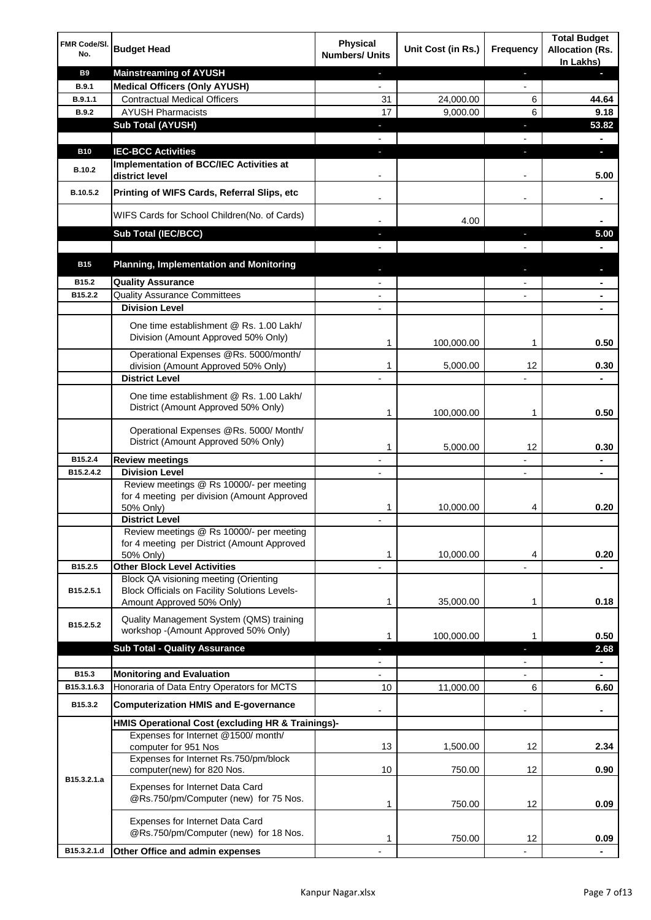| FMR Code/SI.<br>No. | <b>Budget Head</b>                                                                                                         | <b>Physical</b><br><b>Numbers/ Units</b> | Unit Cost (in Rs.) | Frequency                    | <b>Total Budget</b><br><b>Allocation (Rs.</b><br>In Lakhs) |
|---------------------|----------------------------------------------------------------------------------------------------------------------------|------------------------------------------|--------------------|------------------------------|------------------------------------------------------------|
| <b>B9</b>           | <b>Mainstreaming of AYUSH</b>                                                                                              | $\blacksquare$                           |                    | ٠                            | н                                                          |
| B.9.1               | <b>Medical Officers (Only AYUSH)</b>                                                                                       | $\overline{\phantom{a}}$                 |                    | $\overline{\phantom{a}}$     |                                                            |
| B.9.1.1             | <b>Contractual Medical Officers</b>                                                                                        | 31                                       | 24,000.00          | 6                            | 44.64                                                      |
| <b>B.9.2</b>        | <b>AYUSH Pharmacists</b>                                                                                                   | 17                                       | 9,000.00           | 6                            | 9.18                                                       |
|                     | <b>Sub Total (AYUSH)</b>                                                                                                   | ٠                                        |                    | ×,                           | 53.82                                                      |
|                     |                                                                                                                            |                                          |                    |                              |                                                            |
| <b>B10</b>          | <b>IEC-BCC Activities</b><br>Implementation of BCC/IEC Activities at                                                       | J,                                       |                    | ı                            | O.                                                         |
| <b>B.10.2</b>       | district level                                                                                                             |                                          |                    |                              | 5.00                                                       |
| B.10.5.2            | Printing of WIFS Cards, Referral Slips, etc                                                                                | $\overline{\phantom{a}}$                 |                    | $\qquad \qquad \blacksquare$ |                                                            |
|                     | WIFS Cards for School Children(No. of Cards)                                                                               |                                          | 4.00               |                              |                                                            |
|                     | Sub Total (IEC/BCC)                                                                                                        |                                          |                    |                              | 5.00                                                       |
|                     |                                                                                                                            |                                          |                    |                              |                                                            |
| <b>B15</b>          | <b>Planning, Implementation and Monitoring</b>                                                                             |                                          |                    |                              |                                                            |
| B15.2               | <b>Quality Assurance</b>                                                                                                   |                                          |                    |                              | ۰                                                          |
| B15.2.2             | <b>Quality Assurance Committees</b>                                                                                        |                                          |                    |                              | ۰                                                          |
|                     | <b>Division Level</b>                                                                                                      |                                          |                    |                              |                                                            |
|                     | One time establishment @ Rs. 1.00 Lakh/<br>Division (Amount Approved 50% Only)                                             | 1                                        | 100,000.00         | 1                            | 0.50                                                       |
|                     | Operational Expenses @Rs. 5000/month/                                                                                      |                                          |                    |                              |                                                            |
|                     | division (Amount Approved 50% Only)                                                                                        | 1                                        | 5,000.00           | 12                           | 0.30                                                       |
|                     | <b>District Level</b>                                                                                                      |                                          |                    |                              |                                                            |
|                     | One time establishment @ Rs. 1.00 Lakh/<br>District (Amount Approved 50% Only)                                             | 1                                        | 100,000.00         | 1                            | 0.50                                                       |
|                     |                                                                                                                            |                                          |                    |                              |                                                            |
|                     | Operational Expenses @Rs. 5000/ Month/<br>District (Amount Approved 50% Only)                                              | 1                                        | 5,000.00           | 12                           | 0.30                                                       |
| B15.2.4             | <b>Review meetings</b>                                                                                                     | $\overline{\phantom{a}}$                 |                    | -                            | ۰                                                          |
| B15.2.4.2           | <b>Division Level</b>                                                                                                      |                                          |                    | $\overline{\phantom{a}}$     | ٠                                                          |
|                     | Review meetings @ Rs 10000/- per meeting<br>for 4 meeting per division (Amount Approved<br>50% Only)                       | 1                                        | 10,000.00          | 4                            | 0.20                                                       |
|                     | <b>District Level</b>                                                                                                      |                                          |                    |                              |                                                            |
|                     | Review meetings @ Rs 10000/- per meeting                                                                                   |                                          |                    |                              |                                                            |
|                     | for 4 meeting per District (Amount Approved<br>50% Only)                                                                   | 1                                        | 10,000.00          | 4                            | 0.20                                                       |
| B15.2.5             | <b>Other Block Level Activities</b>                                                                                        |                                          |                    |                              |                                                            |
| B15.2.5.1           | Block QA visioning meeting (Orienting<br><b>Block Officials on Facility Solutions Levels-</b><br>Amount Approved 50% Only) | 1                                        | 35,000.00          | 1                            | 0.18                                                       |
|                     |                                                                                                                            |                                          |                    |                              |                                                            |
| B15.2.5.2           | Quality Management System (QMS) training<br>workshop - (Amount Approved 50% Only)                                          | 1                                        | 100,000.00         | 1                            | 0.50                                                       |
|                     | <b>Sub Total - Quality Assurance</b>                                                                                       | н                                        |                    | r                            | 2.68                                                       |
|                     |                                                                                                                            |                                          |                    |                              |                                                            |
| B15.3               | <b>Monitoring and Evaluation</b>                                                                                           |                                          |                    |                              |                                                            |
| B15.3.1.6.3         | Honoraria of Data Entry Operators for MCTS                                                                                 | 10                                       | 11,000.00          | 6                            | 6.60                                                       |
| B15.3.2             | <b>Computerization HMIS and E-governance</b>                                                                               |                                          |                    |                              | ä,                                                         |
|                     | HMIS Operational Cost (excluding HR & Trainings)-                                                                          |                                          |                    |                              |                                                            |
|                     | Expenses for Internet @1500/month/                                                                                         | 13                                       | 1,500.00           | 12                           | 2.34                                                       |
|                     | computer for 951 Nos<br>Expenses for Internet Rs.750/pm/block                                                              |                                          |                    |                              |                                                            |
| B15.3.2.1.a         | computer(new) for 820 Nos.                                                                                                 | 10                                       | 750.00             | 12                           | 0.90                                                       |
|                     | Expenses for Internet Data Card<br>@Rs.750/pm/Computer (new) for 75 Nos.                                                   | 1                                        | 750.00             | 12                           | 0.09                                                       |
|                     | Expenses for Internet Data Card<br>@Rs.750/pm/Computer (new) for 18 Nos.                                                   | 1                                        | 750.00             | 12                           | 0.09                                                       |
| B15.3.2.1.d         | Other Office and admin expenses                                                                                            |                                          |                    |                              |                                                            |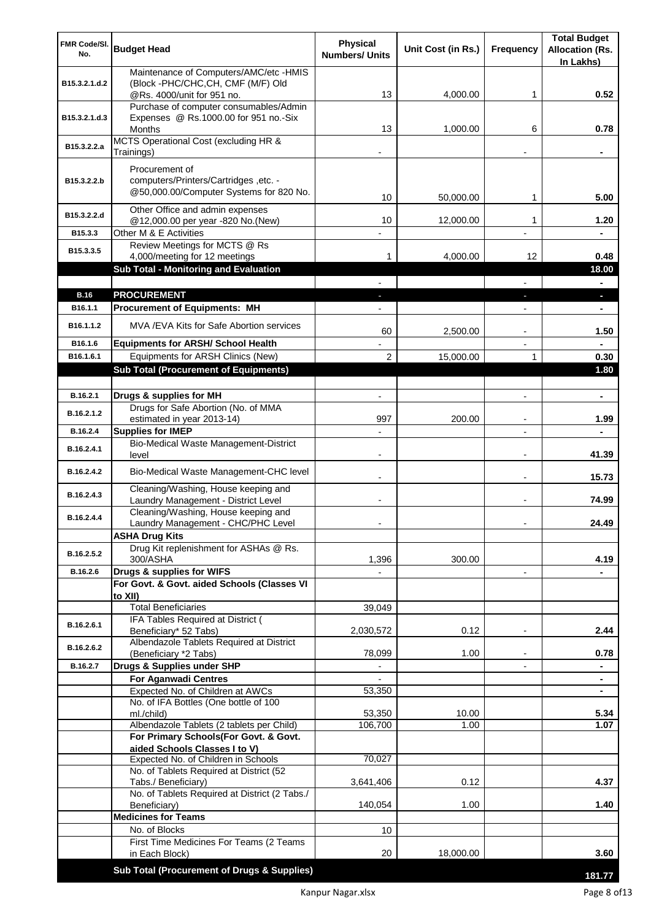| FMR Code/SI.<br>No.   | <b>Budget Head</b>                                                              | <b>Physical</b><br><b>Numbers/ Units</b> | Unit Cost (in Rs.) | <b>Frequency</b>         | <b>Total Budget</b><br><b>Allocation (Rs.</b> |
|-----------------------|---------------------------------------------------------------------------------|------------------------------------------|--------------------|--------------------------|-----------------------------------------------|
|                       | Maintenance of Computers/AMC/etc -HMIS                                          |                                          |                    |                          | In Lakhs)                                     |
| B15.3.2.1.d.2         | (Block -PHC/CHC, CH, CMF (M/F) Old                                              |                                          |                    |                          |                                               |
|                       | @Rs. 4000/unit for 951 no.                                                      | 13                                       | 4,000.00           | 1                        | 0.52                                          |
|                       | Purchase of computer consumables/Admin<br>Expenses @ Rs.1000.00 for 951 no.-Six |                                          |                    |                          |                                               |
| B15.3.2.1.d.3         | Months                                                                          | 13                                       | 1,000.00           | 6                        | 0.78                                          |
| B15.3.2.2.a           | MCTS Operational Cost (excluding HR &                                           |                                          |                    |                          |                                               |
|                       | Trainings)                                                                      |                                          |                    |                          |                                               |
|                       | Procurement of                                                                  |                                          |                    |                          |                                               |
| B15.3.2.2.b           | computers/Printers/Cartridges, etc. -                                           |                                          |                    |                          |                                               |
|                       | @50,000.00/Computer Systems for 820 No.                                         | 10                                       | 50,000.00          | 1                        | 5.00                                          |
| B15.3.2.2.d           | Other Office and admin expenses<br>@12,000.00 per year -820 No.(New)            | 10                                       | 12,000.00          | 1                        | 1.20                                          |
| B15.3.3               | Other M & E Activities                                                          |                                          |                    |                          |                                               |
| B15.3.3.5             | Review Meetings for MCTS @ Rs                                                   |                                          |                    |                          |                                               |
|                       | 4,000/meeting for 12 meetings                                                   | 1                                        | 4.000.00           | 12                       | 0.48                                          |
|                       | Sub Total - Monitoring and Evaluation                                           |                                          |                    |                          | 18.00                                         |
| <b>B.16</b>           | <b>PROCUREMENT</b>                                                              |                                          |                    |                          | Ξ.                                            |
| B16.1.1               | <b>Procurement of Equipments: MH</b>                                            |                                          |                    |                          | ×.<br>٠                                       |
|                       |                                                                                 |                                          |                    |                          |                                               |
| B <sub>16.1.1.2</sub> | MVA/EVA Kits for Safe Abortion services                                         | 60                                       | 2,500.00           |                          | 1.50                                          |
| B16.1.6               | <b>Equipments for ARSH/ School Health</b>                                       |                                          |                    | $\overline{\phantom{a}}$ |                                               |
| B16.1.6.1             | Equipments for ARSH Clinics (New)                                               | $\overline{2}$                           | 15,000.00          | 1                        | 0.30<br>1.80                                  |
|                       | <b>Sub Total (Procurement of Equipments)</b>                                    |                                          |                    |                          |                                               |
| B.16.2.1              | Drugs & supplies for MH                                                         | $\blacksquare$                           |                    | $\blacksquare$           | $\blacksquare$                                |
| B.16.2.1.2            | Drugs for Safe Abortion (No. of MMA                                             |                                          |                    |                          |                                               |
|                       | estimated in year 2013-14)                                                      | 997                                      | 200.00             |                          | 1.99                                          |
| B.16.2.4              | <b>Supplies for IMEP</b>                                                        |                                          |                    |                          |                                               |
| B.16.2.4.1            | Bio-Medical Waste Management-District<br>level                                  | $\overline{\phantom{0}}$                 |                    | $\blacksquare$           | 41.39                                         |
| B.16.2.4.2            | Bio-Medical Waste Management-CHC level                                          |                                          |                    | $\blacksquare$           | 15.73                                         |
| B.16.2.4.3            | Cleaning/Washing, House keeping and<br>Laundry Management - District Level      |                                          |                    | $\blacksquare$           | 74.99                                         |
| B.16.2.4.4            | Cleaning/Washing, House keeping and                                             |                                          |                    |                          |                                               |
|                       | Laundry Management - CHC/PHC Level                                              |                                          |                    |                          | 24.49                                         |
|                       | <b>ASHA Drug Kits</b><br>Drug Kit replenishment for ASHAs @ Rs.                 |                                          |                    |                          |                                               |
| B.16.2.5.2            | 300/ASHA                                                                        | 1,396                                    | 300.00             |                          | 4.19                                          |
| B.16.2.6              | Drugs & supplies for WIFS                                                       |                                          |                    | $\overline{\phantom{a}}$ |                                               |
|                       | For Govt. & Govt. aided Schools (Classes VI                                     |                                          |                    |                          |                                               |
|                       | to XII)<br><b>Total Beneficiaries</b>                                           | 39,049                                   |                    |                          |                                               |
| B.16.2.6.1            | IFA Tables Required at District (                                               |                                          |                    |                          |                                               |
|                       | Beneficiary* 52 Tabs)                                                           | 2,030,572                                | 0.12               | $\overline{\phantom{a}}$ | 2.44                                          |
| B.16.2.6.2            | Albendazole Tablets Required at District<br>(Beneficiary *2 Tabs)               | 78,099                                   | 1.00               |                          | 0.78                                          |
| B.16.2.7              | Drugs & Supplies under SHP                                                      |                                          |                    |                          |                                               |
|                       | <b>For Aganwadi Centres</b>                                                     |                                          |                    |                          |                                               |
|                       | Expected No. of Children at AWCs                                                | 53,350                                   |                    |                          | ٠                                             |
|                       | No. of IFA Bottles (One bottle of 100<br>ml./child)                             | 53,350                                   | 10.00              |                          | 5.34                                          |
|                       | Albendazole Tablets (2 tablets per Child)                                       | 106,700                                  | 1.00               |                          | 1.07                                          |
|                       | For Primary Schools(For Govt. & Govt.                                           |                                          |                    |                          |                                               |
|                       | aided Schools Classes I to V)                                                   | 70,027                                   |                    |                          |                                               |
|                       | Expected No. of Children in Schools<br>No. of Tablets Required at District (52  |                                          |                    |                          |                                               |
|                       | Tabs./ Beneficiary)                                                             | 3,641,406                                | 0.12               |                          | 4.37                                          |
|                       | No. of Tablets Required at District (2 Tabs./                                   |                                          |                    |                          |                                               |
|                       | Beneficiary)<br><b>Medicines for Teams</b>                                      | 140,054                                  | 1.00               |                          | 1.40                                          |
|                       | No. of Blocks                                                                   | 10                                       |                    |                          |                                               |
|                       | First Time Medicines For Teams (2 Teams                                         |                                          |                    |                          |                                               |
|                       | in Each Block)                                                                  | 20                                       | 18,000.00          |                          | 3.60                                          |
|                       | Sub Total (Procurement of Drugs & Supplies)                                     |                                          |                    |                          | 181.77                                        |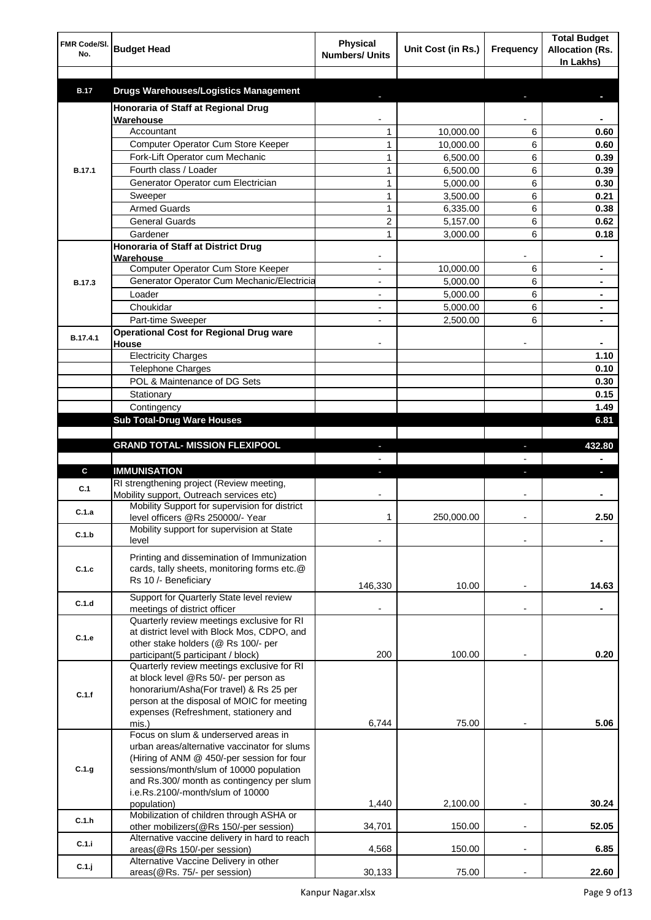| FMR Code/SI.<br>No. | <b>Budget Head</b>                                                   | <b>Physical</b><br><b>Numbers/ Units</b> | Unit Cost (in Rs.) | Frequency                | <b>Total Budget</b><br><b>Allocation (Rs.</b><br>In Lakhs) |
|---------------------|----------------------------------------------------------------------|------------------------------------------|--------------------|--------------------------|------------------------------------------------------------|
| <b>B.17</b>         | <b>Drugs Warehouses/Logistics Management</b>                         |                                          |                    |                          |                                                            |
|                     | Honoraria of Staff at Regional Drug                                  |                                          |                    |                          |                                                            |
|                     | Warehouse                                                            |                                          |                    |                          |                                                            |
|                     | Accountant                                                           | 1                                        | 10,000.00          | 6                        | 0.60                                                       |
|                     | Computer Operator Cum Store Keeper                                   | 1                                        | 10,000.00          | 6                        | 0.60                                                       |
|                     | Fork-Lift Operator cum Mechanic                                      | $\mathbf{1}$                             | 6,500.00           | 6                        | 0.39                                                       |
| <b>B.17.1</b>       | Fourth class / Loader                                                | $\mathbf{1}$                             | 6,500.00           | 6                        | 0.39                                                       |
|                     | Generator Operator cum Electrician                                   | $\mathbf{1}$                             | 5,000.00           | 6                        | 0.30                                                       |
|                     | Sweeper                                                              | $\mathbf{1}$                             | 3,500.00           | 6                        | 0.21                                                       |
|                     | <b>Armed Guards</b>                                                  | $\mathbf{1}$                             | 6,335.00           | 6                        | 0.38                                                       |
|                     | <b>General Guards</b>                                                | $\overline{2}$                           | 5,157.00           | 6                        | 0.62                                                       |
|                     | Gardener                                                             | $\mathbf{1}$                             | 3,000.00           | 6                        | 0.18                                                       |
|                     | Honoraria of Staff at District Drug                                  |                                          |                    |                          |                                                            |
|                     | Warehouse                                                            |                                          |                    |                          |                                                            |
|                     | Computer Operator Cum Store Keeper                                   |                                          | 10,000.00          | 6                        |                                                            |
| <b>B.17.3</b>       | Generator Operator Cum Mechanic/Electricia                           |                                          | 5,000.00           | 6                        |                                                            |
|                     | Loader                                                               |                                          | 5,000.00           | 6                        |                                                            |
|                     | Choukidar                                                            |                                          | 5,000.00           | 6                        |                                                            |
|                     | Part-time Sweeper                                                    |                                          | 2,500.00           | 6                        |                                                            |
|                     | <b>Operational Cost for Regional Drug ware</b>                       |                                          |                    |                          |                                                            |
| B.17.4.1            | House                                                                |                                          |                    |                          |                                                            |
|                     | <b>Electricity Charges</b>                                           |                                          |                    |                          | 1.10                                                       |
|                     | <b>Telephone Charges</b>                                             |                                          |                    |                          | 0.10                                                       |
|                     | POL & Maintenance of DG Sets                                         |                                          |                    |                          | 0.30                                                       |
|                     | Stationary                                                           |                                          |                    |                          | 0.15                                                       |
|                     | Contingency                                                          |                                          |                    |                          | 1.49                                                       |
|                     | <b>Sub Total-Drug Ware Houses</b>                                    |                                          |                    |                          | 6.81                                                       |
|                     |                                                                      |                                          |                    |                          |                                                            |
|                     | <b>GRAND TOTAL- MISSION FLEXIPOOL</b>                                |                                          |                    |                          | 432.80                                                     |
|                     |                                                                      |                                          |                    |                          |                                                            |
| C                   | <b>IMMUNISATION</b>                                                  |                                          |                    |                          |                                                            |
|                     | RI strengthening project (Review meeting,                            |                                          |                    |                          |                                                            |
| C.1                 | Mobility support, Outreach services etc)                             |                                          |                    |                          |                                                            |
| C.1.a               | Mobility Support for supervision for district                        |                                          |                    |                          |                                                            |
|                     | level officers @Rs 250000/- Year                                     | 1                                        | 250,000.00         |                          | 2.50                                                       |
| C.1.b               | Mobility support for supervision at State                            |                                          |                    |                          |                                                            |
|                     | level                                                                |                                          |                    |                          |                                                            |
|                     | Printing and dissemination of Immunization                           |                                          |                    |                          |                                                            |
| C.1.c               | cards, tally sheets, monitoring forms etc.@                          |                                          |                    |                          |                                                            |
|                     | Rs 10 /- Beneficiary                                                 | 146,330                                  | 10.00              |                          | 14.63                                                      |
|                     | Support for Quarterly State level review                             |                                          |                    |                          |                                                            |
| C.1.d               | meetings of district officer                                         |                                          |                    |                          |                                                            |
|                     | Quarterly review meetings exclusive for RI                           |                                          |                    |                          |                                                            |
| C.1.e               | at district level with Block Mos, CDPO, and                          |                                          |                    |                          |                                                            |
|                     | other stake holders (@ Rs 100/- per                                  |                                          |                    |                          |                                                            |
|                     | participant(5 participant / block)                                   | 200                                      | 100.00             |                          | 0.20                                                       |
|                     | Quarterly review meetings exclusive for RI                           |                                          |                    |                          |                                                            |
|                     | at block level @Rs 50/- per person as                                |                                          |                    |                          |                                                            |
| C.1.f               | honorarium/Asha(For travel) & Rs 25 per                              |                                          |                    |                          |                                                            |
|                     | person at the disposal of MOIC for meeting                           |                                          |                    |                          |                                                            |
|                     | expenses (Refreshment, stationery and<br>mis.)                       | 6,744                                    | 75.00              |                          | 5.06                                                       |
|                     | Focus on slum & underserved areas in                                 |                                          |                    |                          |                                                            |
|                     | urban areas/alternative vaccinator for slums                         |                                          |                    |                          |                                                            |
|                     | (Hiring of ANM @ 450/-per session for four                           |                                          |                    |                          |                                                            |
| C.1.g               | sessions/month/slum of 10000 population                              |                                          |                    |                          |                                                            |
|                     | and Rs.300/ month as contingency per slum                            |                                          |                    |                          |                                                            |
|                     | i.e.Rs.2100/-month/slum of 10000                                     |                                          |                    |                          |                                                            |
|                     | population)                                                          | 1,440                                    | 2,100.00           |                          | 30.24                                                      |
| C.1.h               | Mobilization of children through ASHA or                             |                                          |                    |                          |                                                            |
|                     | other mobilizers(@Rs 150/-per session)                               | 34,701                                   | 150.00             | $\overline{\phantom{a}}$ | 52.05                                                      |
| C.1.i               | Alternative vaccine delivery in hard to reach                        |                                          |                    |                          |                                                            |
|                     | areas(@Rs 150/-per session)<br>Alternative Vaccine Delivery in other | 4,568                                    | 150.00             | $\overline{\phantom{a}}$ | 6.85                                                       |
| $C.1.$ j            | areas(@Rs. 75/- per session)                                         | 30,133                                   | 75.00              |                          | 22.60                                                      |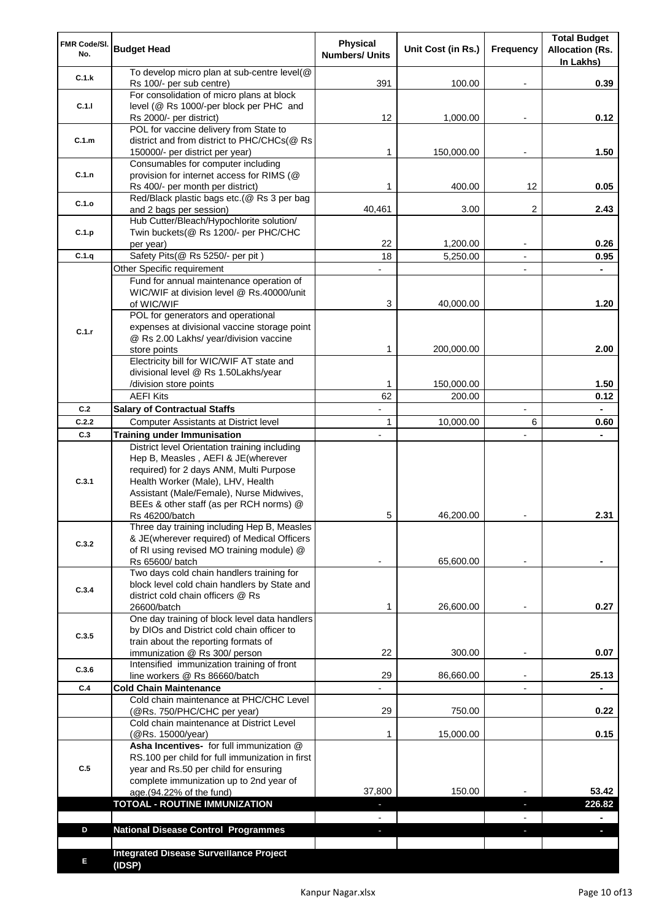| FMR Code/SI.<br>No. | <b>Budget Head</b>                                                                                                                                                                                                                                         | <b>Physical</b><br><b>Numbers/ Units</b> | Unit Cost (in Rs.) | Frequency                | <b>Total Budget</b><br><b>Allocation (Rs.</b><br>In Lakhs) |
|---------------------|------------------------------------------------------------------------------------------------------------------------------------------------------------------------------------------------------------------------------------------------------------|------------------------------------------|--------------------|--------------------------|------------------------------------------------------------|
| C.1.k               | To develop micro plan at sub-centre level(@<br>Rs 100/- per sub centre)                                                                                                                                                                                    | 391                                      | 100.00             |                          | 0.39                                                       |
| C.1.1               | For consolidation of micro plans at block<br>level (@ Rs 1000/-per block per PHC and                                                                                                                                                                       |                                          |                    |                          |                                                            |
|                     | Rs 2000/- per district)<br>POL for vaccine delivery from State to                                                                                                                                                                                          | 12                                       | 1,000.00           |                          | 0.12                                                       |
| C.1.m               | district and from district to PHC/CHCs(@ Rs<br>150000/- per district per year)                                                                                                                                                                             | 1                                        | 150,000.00         |                          | 1.50                                                       |
|                     | Consumables for computer including                                                                                                                                                                                                                         |                                          |                    |                          |                                                            |
| C.1.n               | provision for internet access for RIMS (@<br>Rs 400/- per month per district)                                                                                                                                                                              | 1                                        | 400.00             | 12                       | 0.05                                                       |
| C.1.o               | Red/Black plastic bags etc.(@ Rs 3 per bag                                                                                                                                                                                                                 |                                          |                    |                          |                                                            |
|                     | and 2 bags per session)<br>Hub Cutter/Bleach/Hypochlorite solution/                                                                                                                                                                                        | 40,461                                   | 3.00               | 2                        | 2.43                                                       |
| C.1.p               | Twin buckets(@ Rs 1200/- per PHC/CHC                                                                                                                                                                                                                       |                                          |                    |                          |                                                            |
|                     | per year)                                                                                                                                                                                                                                                  | 22                                       | 1,200.00           |                          | 0.26                                                       |
| C.1.q               | Safety Pits(@ Rs 5250/- per pit)                                                                                                                                                                                                                           | 18                                       | 5,250.00           |                          | 0.95                                                       |
|                     | Other Specific requirement<br>Fund for annual maintenance operation of                                                                                                                                                                                     |                                          |                    | $\blacksquare$           | $\blacksquare$                                             |
|                     | WIC/WIF at division level @ Rs.40000/unit                                                                                                                                                                                                                  |                                          |                    |                          |                                                            |
|                     | of WIC/WIF                                                                                                                                                                                                                                                 | 3                                        | 40,000.00          |                          | 1.20                                                       |
|                     | POL for generators and operational                                                                                                                                                                                                                         |                                          |                    |                          |                                                            |
| C.1.r               | expenses at divisional vaccine storage point<br>@ Rs 2.00 Lakhs/ year/division vaccine                                                                                                                                                                     |                                          |                    |                          |                                                            |
|                     | store points                                                                                                                                                                                                                                               | 1                                        | 200,000.00         |                          | 2.00                                                       |
|                     | Electricity bill for WIC/WIF AT state and                                                                                                                                                                                                                  |                                          |                    |                          |                                                            |
|                     | divisional level @ Rs 1.50Lakhs/year<br>/division store points                                                                                                                                                                                             | 1                                        | 150,000.00         |                          | 1.50                                                       |
|                     | <b>AEFI Kits</b>                                                                                                                                                                                                                                           | 62                                       | 200.00             |                          | 0.12                                                       |
| C.2                 | <b>Salary of Contractual Staffs</b>                                                                                                                                                                                                                        | L,                                       |                    | $\overline{\phantom{a}}$ | $\blacksquare$                                             |
| C.2.2               | Computer Assistants at District level                                                                                                                                                                                                                      | 1                                        | 10,000.00          | 6                        | 0.60                                                       |
| C.3                 | <b>Training under Immunisation</b>                                                                                                                                                                                                                         | $\overline{a}$                           |                    | $\overline{a}$           | $\blacksquare$                                             |
| C.3.1               | District level Orientation training including<br>Hep B, Measles, AEFI & JE(wherever<br>required) for 2 days ANM, Multi Purpose<br>Health Worker (Male), LHV, Health<br>Assistant (Male/Female), Nurse Midwives,<br>BEEs & other staff (as per RCH norms) @ |                                          |                    |                          |                                                            |
|                     | Rs 46200/batch                                                                                                                                                                                                                                             | 5                                        | 46,200.00          |                          | 2.31                                                       |
| C.3.2               | Three day training including Hep B, Measles<br>& JE(wherever required) of Medical Officers<br>of RI using revised MO training module) @<br>Rs 65600/ batch                                                                                                 |                                          | 65,600.00          |                          |                                                            |
|                     | Two days cold chain handlers training for                                                                                                                                                                                                                  |                                          |                    |                          |                                                            |
| C.3.4               | block level cold chain handlers by State and<br>district cold chain officers @ Rs<br>26600/batch                                                                                                                                                           | 1                                        | 26,600.00          |                          | 0.27                                                       |
|                     | One day training of block level data handlers                                                                                                                                                                                                              |                                          |                    |                          |                                                            |
| C.3.5               | by DIOs and District cold chain officer to                                                                                                                                                                                                                 |                                          |                    |                          |                                                            |
|                     | train about the reporting formats of<br>immunization @ Rs 300/ person                                                                                                                                                                                      | 22                                       | 300.00             | $\overline{\phantom{0}}$ | 0.07                                                       |
| C.3.6               | Intensified immunization training of front                                                                                                                                                                                                                 |                                          |                    |                          |                                                            |
|                     | line workers @ Rs 86660/batch                                                                                                                                                                                                                              | 29                                       | 86,660.00          | $\blacksquare$           | 25.13                                                      |
| C.4                 | <b>Cold Chain Maintenance</b><br>Cold chain maintenance at PHC/CHC Level                                                                                                                                                                                   |                                          |                    |                          |                                                            |
|                     | (@Rs. 750/PHC/CHC per year)                                                                                                                                                                                                                                | 29                                       | 750.00             |                          | 0.22                                                       |
|                     | Cold chain maintenance at District Level<br>(@Rs. 15000/year)                                                                                                                                                                                              | 1                                        | 15,000.00          |                          | 0.15                                                       |
| C.5                 | Asha Incentives- for full immunization @<br>RS.100 per child for full immunization in first<br>year and Rs.50 per child for ensuring<br>complete immunization up to 2nd year of                                                                            |                                          |                    |                          |                                                            |
|                     | age.(94.22% of the fund)                                                                                                                                                                                                                                   | 37,800                                   | 150.00             |                          | 53.42                                                      |
|                     | <b>TOTOAL - ROUTINE IMMUNIZATION</b>                                                                                                                                                                                                                       |                                          |                    |                          | 226.82                                                     |
| D                   | <b>National Disease Control Programmes</b>                                                                                                                                                                                                                 |                                          |                    |                          |                                                            |
|                     |                                                                                                                                                                                                                                                            |                                          |                    |                          |                                                            |
| Е                   | <b>Integrated Disease Surveillance Project</b><br>(IDSP)                                                                                                                                                                                                   |                                          |                    |                          |                                                            |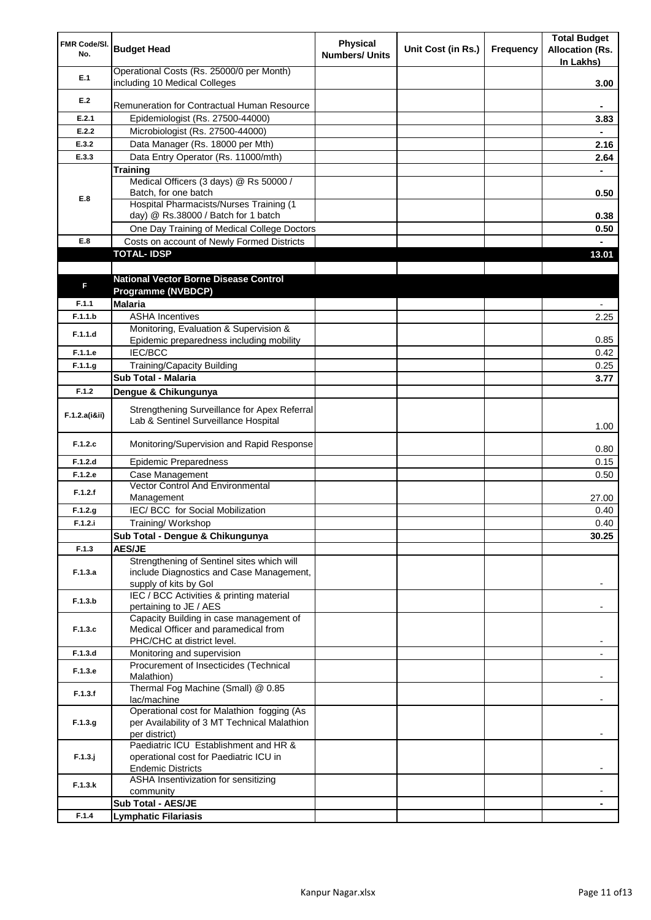| FMR Code/SI.<br>No. | <b>Budget Head</b>                                                                   | <b>Physical</b><br><b>Numbers/ Units</b> | Unit Cost (in Rs.) | Frequency | <b>Total Budget</b><br><b>Allocation (Rs.</b><br>In Lakhs) |
|---------------------|--------------------------------------------------------------------------------------|------------------------------------------|--------------------|-----------|------------------------------------------------------------|
| E.1                 | Operational Costs (Rs. 25000/0 per Month)<br>including 10 Medical Colleges           |                                          |                    |           | 3.00                                                       |
| E.2                 |                                                                                      |                                          |                    |           |                                                            |
|                     | Remuneration for Contractual Human Resource                                          |                                          |                    |           |                                                            |
| E.2.1               | Epidemiologist (Rs. 27500-44000)                                                     |                                          |                    |           | 3.83                                                       |
| E.2.2               | Microbiologist (Rs. 27500-44000)                                                     |                                          |                    |           |                                                            |
| E.3.2               | Data Manager (Rs. 18000 per Mth)                                                     |                                          |                    |           | 2.16                                                       |
| E.3.3               | Data Entry Operator (Rs. 11000/mth)                                                  |                                          |                    |           | 2.64                                                       |
|                     | <b>Training</b><br>Medical Officers (3 days) @ Rs 50000 /                            |                                          |                    |           |                                                            |
|                     | Batch, for one batch                                                                 |                                          |                    |           | 0.50                                                       |
| E.8                 | Hospital Pharmacists/Nurses Training (1                                              |                                          |                    |           |                                                            |
|                     | day) @ Rs.38000 / Batch for 1 batch                                                  |                                          |                    |           | 0.38                                                       |
|                     | One Day Training of Medical College Doctors                                          |                                          |                    |           | 0.50                                                       |
| E.8                 | Costs on account of Newly Formed Districts                                           |                                          |                    |           |                                                            |
|                     | <b>TOTAL-IDSP</b>                                                                    |                                          |                    |           | 13.01                                                      |
|                     |                                                                                      |                                          |                    |           |                                                            |
| F                   | <b>National Vector Borne Disease Control</b>                                         |                                          |                    |           |                                                            |
|                     | Programme (NVBDCP)                                                                   |                                          |                    |           |                                                            |
| F.1.1               | <b>Malaria</b>                                                                       |                                          |                    |           |                                                            |
| F.1.1.b             | <b>ASHA Incentives</b>                                                               |                                          |                    |           | 2.25                                                       |
| F.1.1.d             | Monitoring, Evaluation & Supervision &                                               |                                          |                    |           |                                                            |
| F.1.1.e             | Epidemic preparedness including mobility<br><b>IEC/BCC</b>                           |                                          |                    |           | 0.85                                                       |
| F.1.1.g             | <b>Training/Capacity Building</b>                                                    |                                          |                    |           | 0.42<br>0.25                                               |
|                     | Sub Total - Malaria                                                                  |                                          |                    |           | 3.77                                                       |
| F.1.2               |                                                                                      |                                          |                    |           |                                                            |
|                     | Dengue & Chikungunya                                                                 |                                          |                    |           |                                                            |
| F.1.2.a(iⅈ)         | Strengthening Surveillance for Apex Referral<br>Lab & Sentinel Surveillance Hospital |                                          |                    |           | 1.00                                                       |
| F.1.2.c             | Monitoring/Supervision and Rapid Response                                            |                                          |                    |           | 0.80                                                       |
| F.1.2.d             | <b>Epidemic Preparedness</b>                                                         |                                          |                    |           | 0.15                                                       |
| F.1.2.e             | Case Management                                                                      |                                          |                    |           | 0.50                                                       |
| F.1.2.f             | Vector Control And Environmental<br>Management                                       |                                          |                    |           | 27.00                                                      |
| F.1.2.g             | IEC/ BCC for Social Mobilization                                                     |                                          |                    |           | 0.40                                                       |
| F.1.2.i             | Training/Workshop                                                                    |                                          |                    |           | 0.40                                                       |
|                     | Sub Total - Dengue & Chikungunya                                                     |                                          |                    |           | 30.25                                                      |
| F.1.3               | <b>AES/JE</b>                                                                        |                                          |                    |           |                                                            |
|                     | Strengthening of Sentinel sites which will                                           |                                          |                    |           |                                                            |
| F.1.3.a             | include Diagnostics and Case Management,<br>supply of kits by Gol                    |                                          |                    |           |                                                            |
|                     | IEC / BCC Activities & printing material                                             |                                          |                    |           |                                                            |
| F.1.3.b             | pertaining to JE / AES                                                               |                                          |                    |           |                                                            |
|                     | Capacity Building in case management of                                              |                                          |                    |           |                                                            |
| F.1.3.c             | Medical Officer and paramedical from                                                 |                                          |                    |           |                                                            |
|                     | PHC/CHC at district level.                                                           |                                          |                    |           |                                                            |
| F.1.3.d             | Monitoring and supervision                                                           |                                          |                    |           |                                                            |
| F.1.3.e             | Procurement of Insecticides (Technical<br>Malathion)                                 |                                          |                    |           |                                                            |
|                     | Thermal Fog Machine (Small) @ 0.85                                                   |                                          |                    |           |                                                            |
| F.1.3.f             | lac/machine                                                                          |                                          |                    |           |                                                            |
|                     | Operational cost for Malathion fogging (As                                           |                                          |                    |           |                                                            |
| F.1.3.g             | per Availability of 3 MT Technical Malathion                                         |                                          |                    |           |                                                            |
|                     | per district)                                                                        |                                          |                    |           |                                                            |
| $F.1.3.$ j          | Paediatric ICU Establishment and HR &<br>operational cost for Paediatric ICU in      |                                          |                    |           |                                                            |
|                     | <b>Endemic Districts</b>                                                             |                                          |                    |           |                                                            |
|                     | ASHA Insentivization for sensitizing                                                 |                                          |                    |           |                                                            |
| F.1.3.k             | community                                                                            |                                          |                    |           |                                                            |
|                     | Sub Total - AES/JE                                                                   |                                          |                    |           |                                                            |
| F.1.4               | <b>Lymphatic Filariasis</b>                                                          |                                          |                    |           |                                                            |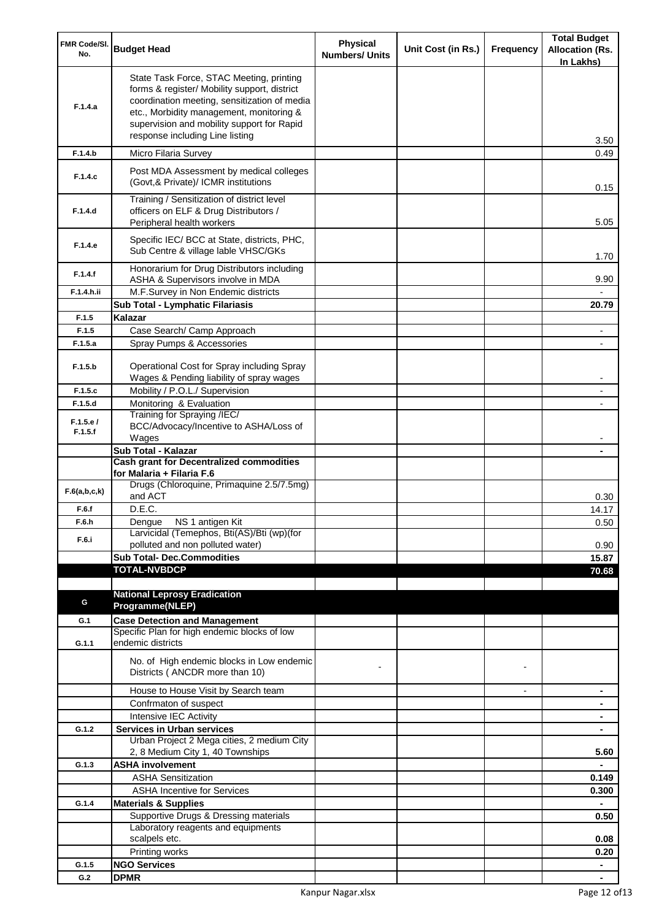| FMR Code/SI.<br>No. | <b>Budget Head</b>                                                                                                                                                                                                                                                    | <b>Physical</b><br><b>Numbers/ Units</b> | Unit Cost (in Rs.) | Frequency      | <b>Total Budget</b><br><b>Allocation (Rs.</b><br>In Lakhs) |
|---------------------|-----------------------------------------------------------------------------------------------------------------------------------------------------------------------------------------------------------------------------------------------------------------------|------------------------------------------|--------------------|----------------|------------------------------------------------------------|
| F.1.4.a             | State Task Force, STAC Meeting, printing<br>forms & register/ Mobility support, district<br>coordination meeting, sensitization of media<br>etc., Morbidity management, monitoring &<br>supervision and mobility support for Rapid<br>response including Line listing |                                          |                    |                | 3.50                                                       |
| F.1.4.b             | Micro Filaria Survey                                                                                                                                                                                                                                                  |                                          |                    |                | 0.49                                                       |
| F.1.4.c             | Post MDA Assessment by medical colleges<br>(Govt, & Private)/ ICMR institutions                                                                                                                                                                                       |                                          |                    |                | 0.15                                                       |
| F.1.4.d             | Training / Sensitization of district level<br>officers on ELF & Drug Distributors /<br>Peripheral health workers                                                                                                                                                      |                                          |                    |                | 5.05                                                       |
| F.1.4.e             | Specific IEC/ BCC at State, districts, PHC,<br>Sub Centre & village lable VHSC/GKs                                                                                                                                                                                    |                                          |                    |                | 1.70                                                       |
| F.1.4.f             | Honorarium for Drug Distributors including<br>ASHA & Supervisors involve in MDA                                                                                                                                                                                       |                                          |                    |                | 9.90                                                       |
| F.1.4.h.ii          | M.F.Survey in Non Endemic districts                                                                                                                                                                                                                                   |                                          |                    |                |                                                            |
|                     | Sub Total - Lymphatic Filariasis                                                                                                                                                                                                                                      |                                          |                    |                | 20.79                                                      |
| F.1.5<br>F.1.5      | Kalazar                                                                                                                                                                                                                                                               |                                          |                    |                |                                                            |
| F.1.5.a             | Case Search/ Camp Approach<br>Spray Pumps & Accessories                                                                                                                                                                                                               |                                          |                    |                |                                                            |
| F.1.5.b             | Operational Cost for Spray including Spray                                                                                                                                                                                                                            |                                          |                    |                |                                                            |
|                     | Wages & Pending liability of spray wages                                                                                                                                                                                                                              |                                          |                    |                |                                                            |
| F.1.5.c             | Mobility / P.O.L./ Supervision                                                                                                                                                                                                                                        |                                          |                    |                |                                                            |
| F.1.5.d             | Monitoring & Evaluation<br>Training for Spraying /IEC/                                                                                                                                                                                                                |                                          |                    |                |                                                            |
| F.1.5.e/<br>F.1.5.f | BCC/Advocacy/Incentive to ASHA/Loss of<br>Wages                                                                                                                                                                                                                       |                                          |                    |                |                                                            |
|                     | Sub Total - Kalazar                                                                                                                                                                                                                                                   |                                          |                    |                |                                                            |
|                     | <b>Cash grant for Decentralized commodities</b><br>for Malaria + Filaria F.6                                                                                                                                                                                          |                                          |                    |                |                                                            |
| F.6(a,b,c,k)        | Drugs (Chloroquine, Primaquine 2.5/7.5mg)<br>and ACT                                                                                                                                                                                                                  |                                          |                    |                | 0.30                                                       |
| F.6.f               | D.E.C.                                                                                                                                                                                                                                                                |                                          |                    |                | 14.17                                                      |
| F.6.h<br>F.6.i      | Dengue NS 1 antigen Kit<br>Larvicidal (Temephos, Bti(AS)/Bti (wp)(for<br>polluted and non polluted water)                                                                                                                                                             |                                          |                    |                | 0.50<br>0.90                                               |
|                     | <b>Sub Total- Dec.Commodities</b>                                                                                                                                                                                                                                     |                                          |                    |                | 15.87                                                      |
|                     | <b>TOTAL-NVBDCP</b>                                                                                                                                                                                                                                                   |                                          |                    |                | 70.68                                                      |
|                     |                                                                                                                                                                                                                                                                       |                                          |                    |                |                                                            |
| G                   | <b>National Leprosy Eradication</b>                                                                                                                                                                                                                                   |                                          |                    |                |                                                            |
|                     | Programme(NLEP)                                                                                                                                                                                                                                                       |                                          |                    |                |                                                            |
| G.1                 | <b>Case Detection and Management</b><br>Specific Plan for high endemic blocks of low                                                                                                                                                                                  |                                          |                    |                |                                                            |
| G.1.1               | endemic districts                                                                                                                                                                                                                                                     |                                          |                    |                |                                                            |
|                     | No. of High endemic blocks in Low endemic<br>Districts (ANCDR more than 10)                                                                                                                                                                                           |                                          |                    |                |                                                            |
|                     | House to House Visit by Search team                                                                                                                                                                                                                                   |                                          |                    | $\blacksquare$ | $\blacksquare$                                             |
|                     | Confrmaton of suspect                                                                                                                                                                                                                                                 |                                          |                    |                | ۰                                                          |
|                     | Intensive IEC Activity                                                                                                                                                                                                                                                |                                          |                    |                | ۰                                                          |
| G.1.2               | <b>Services in Urban services</b><br>Urban Project 2 Mega cities, 2 medium City                                                                                                                                                                                       |                                          |                    |                | ٠                                                          |
|                     | 2, 8 Medium City 1, 40 Townships                                                                                                                                                                                                                                      |                                          |                    |                | 5.60                                                       |
| G.1.3               | <b>ASHA involvement</b>                                                                                                                                                                                                                                               |                                          |                    |                |                                                            |
|                     | <b>ASHA Sensitization</b>                                                                                                                                                                                                                                             |                                          |                    |                | 0.149                                                      |
|                     | <b>ASHA Incentive for Services</b>                                                                                                                                                                                                                                    |                                          |                    |                | 0.300                                                      |
| G.1.4               | <b>Materials &amp; Supplies</b>                                                                                                                                                                                                                                       |                                          |                    |                |                                                            |
|                     | Supportive Drugs & Dressing materials                                                                                                                                                                                                                                 |                                          |                    |                | 0.50                                                       |
|                     | Laboratory reagents and equipments<br>scalpels etc.                                                                                                                                                                                                                   |                                          |                    |                | 0.08                                                       |
|                     | Printing works                                                                                                                                                                                                                                                        |                                          |                    |                | 0.20                                                       |
| G.1.5               | <b>NGO Services</b>                                                                                                                                                                                                                                                   |                                          |                    |                | $\blacksquare$                                             |
| G.2                 | <b>DPMR</b>                                                                                                                                                                                                                                                           |                                          |                    |                |                                                            |